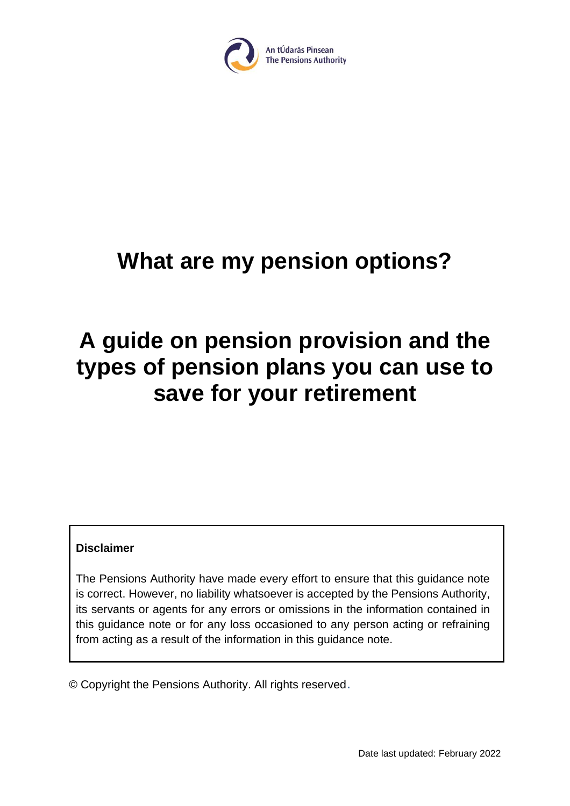

# **What are my pension options?**

# **A guide on pension provision and the types of pension plans you can use to save for your retirement**

#### **Disclaimer**

The Pensions Authority have made every effort to ensure that this guidance note is correct. However, no liability whatsoever is accepted by the Pensions Authority, its servants or agents for any errors or omissions in the information contained in this guidance note or for any loss occasioned to any person acting or refraining from acting as a result of the information in this guidance note.

© Copyright the Pensions Authority. All rights reserved.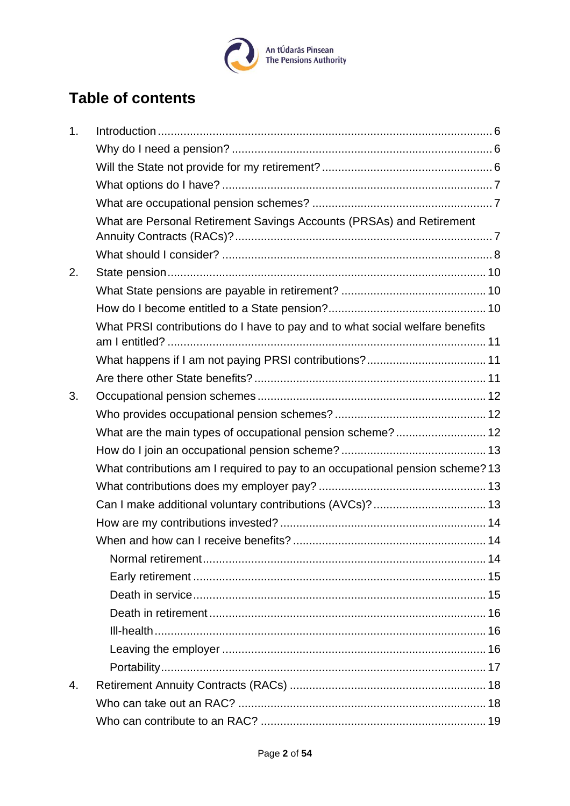

## **Table of contents**

| 1.                                                                            |  |
|-------------------------------------------------------------------------------|--|
|                                                                               |  |
|                                                                               |  |
|                                                                               |  |
|                                                                               |  |
| What are Personal Retirement Savings Accounts (PRSAs) and Retirement          |  |
|                                                                               |  |
| 2.                                                                            |  |
|                                                                               |  |
|                                                                               |  |
| What PRSI contributions do I have to pay and to what social welfare benefits  |  |
|                                                                               |  |
|                                                                               |  |
| 3.                                                                            |  |
|                                                                               |  |
| What are the main types of occupational pension scheme? 12                    |  |
|                                                                               |  |
| What contributions am I required to pay to an occupational pension scheme? 13 |  |
|                                                                               |  |
| Can I make additional voluntary contributions (AVCs)?  13                     |  |
|                                                                               |  |
|                                                                               |  |
|                                                                               |  |
|                                                                               |  |
|                                                                               |  |
|                                                                               |  |
|                                                                               |  |
|                                                                               |  |
|                                                                               |  |
| 4.                                                                            |  |
|                                                                               |  |
|                                                                               |  |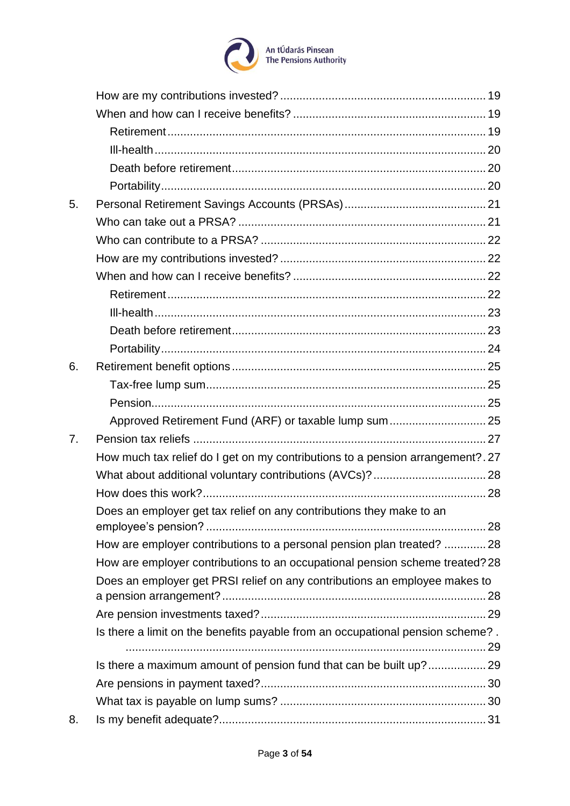

| 5. |                                                                                |
|----|--------------------------------------------------------------------------------|
|    |                                                                                |
|    |                                                                                |
|    |                                                                                |
|    |                                                                                |
|    |                                                                                |
|    |                                                                                |
|    |                                                                                |
|    |                                                                                |
| 6. |                                                                                |
|    |                                                                                |
|    |                                                                                |
|    | Approved Retirement Fund (ARF) or taxable lump sum  25                         |
| 7. |                                                                                |
|    | How much tax relief do I get on my contributions to a pension arrangement?. 27 |
|    |                                                                                |
|    |                                                                                |
|    | Does an employer get tax relief on any contributions they make to an           |
|    |                                                                                |
|    | How are employer contributions to a personal pension plan treated?  28         |
|    | How are employer contributions to an occupational pension scheme treated? 28   |
|    | Does an employer get PRSI relief on any contributions an employee makes to     |
|    |                                                                                |
|    | Is there a limit on the benefits payable from an occupational pension scheme?. |
|    | Is there a maximum amount of pension fund that can be built up? 29             |
|    |                                                                                |
|    |                                                                                |
| 8. |                                                                                |
|    |                                                                                |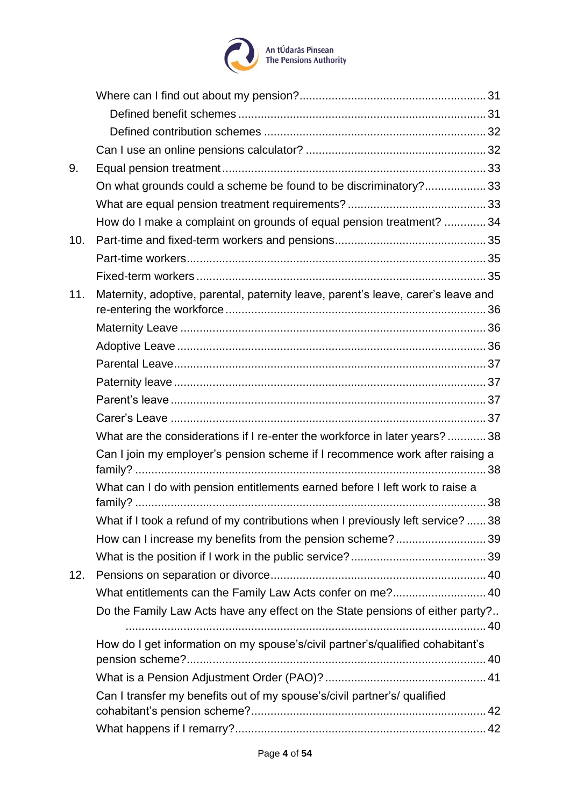

| 9.  |                                                                                   |  |
|-----|-----------------------------------------------------------------------------------|--|
|     | On what grounds could a scheme be found to be discriminatory?33                   |  |
|     |                                                                                   |  |
|     | How do I make a complaint on grounds of equal pension treatment?  34              |  |
| 10. |                                                                                   |  |
|     |                                                                                   |  |
|     |                                                                                   |  |
| 11. | Maternity, adoptive, parental, paternity leave, parent's leave, carer's leave and |  |
|     |                                                                                   |  |
|     |                                                                                   |  |
|     |                                                                                   |  |
|     |                                                                                   |  |
|     |                                                                                   |  |
|     |                                                                                   |  |
|     | What are the considerations if I re-enter the workforce in later years?38         |  |
|     | Can I join my employer's pension scheme if I recommence work after raising a      |  |
|     | What can I do with pension entitlements earned before I left work to raise a      |  |
|     | What if I took a refund of my contributions when I previously left service?  38   |  |
|     | How can I increase my benefits from the pension scheme?39                         |  |
|     |                                                                                   |  |
| 12. |                                                                                   |  |
|     | What entitlements can the Family Law Acts confer on me? 40                        |  |
|     | Do the Family Law Acts have any effect on the State pensions of either party?     |  |
|     | How do I get information on my spouse's/civil partner's/qualified cohabitant's    |  |
|     |                                                                                   |  |
|     |                                                                                   |  |
|     | Can I transfer my benefits out of my spouse's/civil partner's/ qualified          |  |
|     |                                                                                   |  |
|     |                                                                                   |  |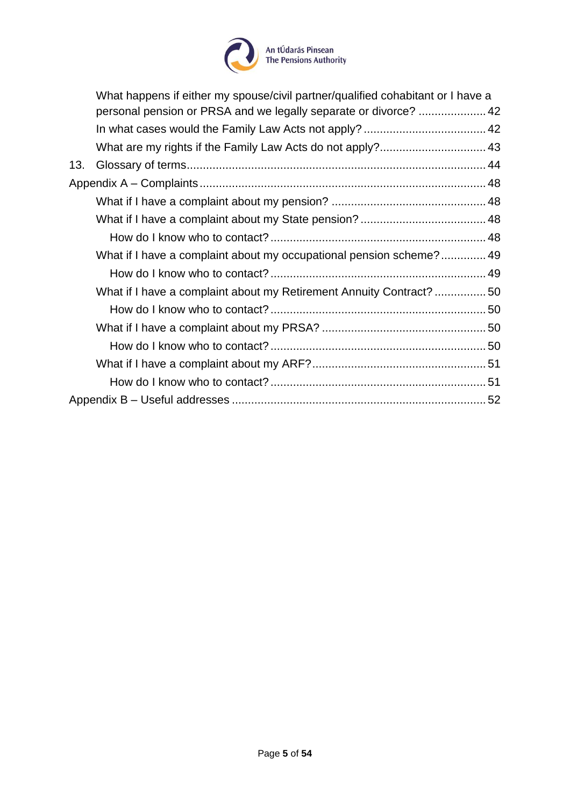

|                                                                     | What happens if either my spouse/civil partner/qualified cohabitant or I have a<br>personal pension or PRSA and we legally separate or divorce?  42 |  |
|---------------------------------------------------------------------|-----------------------------------------------------------------------------------------------------------------------------------------------------|--|
|                                                                     |                                                                                                                                                     |  |
|                                                                     |                                                                                                                                                     |  |
| 13.                                                                 |                                                                                                                                                     |  |
|                                                                     |                                                                                                                                                     |  |
|                                                                     |                                                                                                                                                     |  |
|                                                                     |                                                                                                                                                     |  |
|                                                                     |                                                                                                                                                     |  |
|                                                                     | What if I have a complaint about my occupational pension scheme? 49                                                                                 |  |
|                                                                     |                                                                                                                                                     |  |
| What if I have a complaint about my Retirement Annuity Contract? 50 |                                                                                                                                                     |  |
|                                                                     |                                                                                                                                                     |  |
|                                                                     |                                                                                                                                                     |  |
|                                                                     |                                                                                                                                                     |  |
|                                                                     |                                                                                                                                                     |  |
|                                                                     |                                                                                                                                                     |  |
|                                                                     |                                                                                                                                                     |  |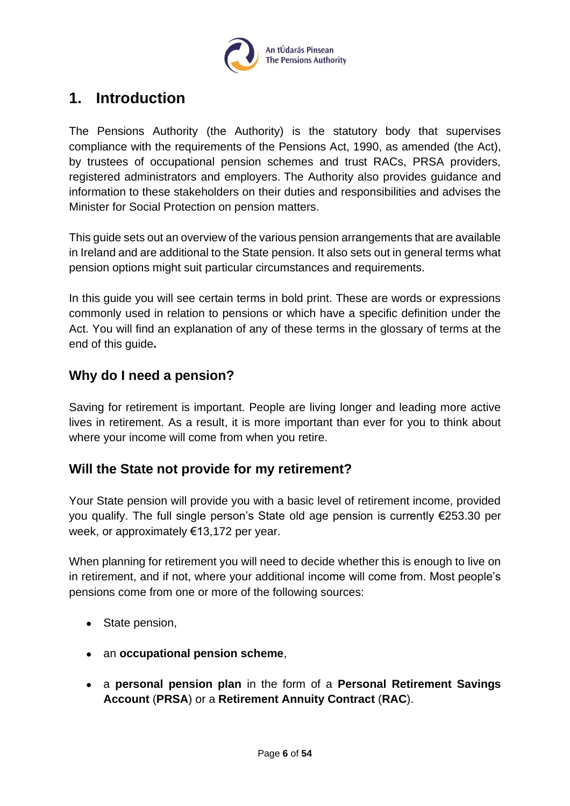

## <span id="page-5-0"></span>**1. Introduction**

The Pensions Authority (the Authority) is the statutory body that supervises compliance with the requirements of the Pensions Act, 1990, as amended (the Act), by trustees of occupational pension schemes and trust RACs, PRSA providers, registered administrators and employers. The Authority also provides guidance and information to these stakeholders on their duties and responsibilities and advises the Minister for Social Protection on pension matters.

This guide sets out an overview of the various pension arrangements that are available in Ireland and are additional to the State pension. It also sets out in general terms what pension options might suit particular circumstances and requirements.

In this guide you will see certain terms in bold print. These are words or expressions commonly used in relation to pensions or which have a specific definition under the Act. You will find an explanation of any of these terms in the glossary of terms at the end of this guide**.**

## <span id="page-5-1"></span>**Why do I need a pension?**

Saving for retirement is important. People are living longer and leading more active lives in retirement. As a result, it is more important than ever for you to think about where your income will come from when you retire.

## <span id="page-5-2"></span>**Will the State not provide for my retirement?**

Your State pension will provide you with a basic level of retirement income, provided you qualify. The full single person's State old age pension is currently €253.30 per week, or approximately €13,172 per year.

When planning for retirement you will need to decide whether this is enough to live on in retirement, and if not, where your additional income will come from. Most people's pensions come from one or more of the following sources:

- State pension,
- an **occupational pension scheme**,
- a **personal pension plan** in the form of a **Personal Retirement Savings Account** (**PRSA**) or a **Retirement Annuity Contract** (**RAC**).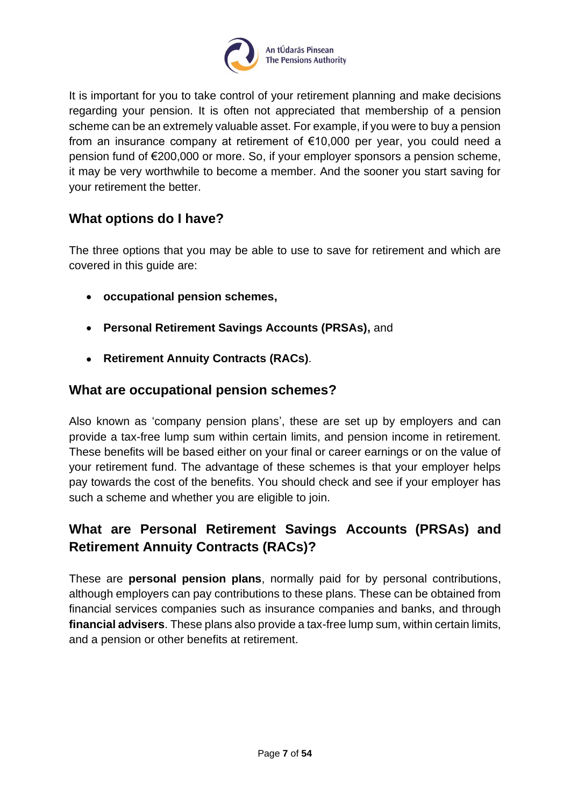

It is important for you to take control of your retirement planning and make decisions regarding your pension. It is often not appreciated that membership of a pension scheme can be an extremely valuable asset. For example, if you were to buy a pension from an insurance company at retirement of €10,000 per year, you could need a pension fund of €200,000 or more. So, if your employer sponsors a pension scheme, it may be very worthwhile to become a member. And the sooner you start saving for your retirement the better.

## <span id="page-6-0"></span>**What options do I have?**

The three options that you may be able to use to save for retirement and which are covered in this guide are:

- **occupational pension schemes,**
- **Personal Retirement Savings Accounts (PRSAs),** and
- **Retirement Annuity Contracts (RACs)**.

#### <span id="page-6-1"></span>**What are occupational pension schemes?**

Also known as 'company pension plans', these are set up by employers and can provide a tax-free lump sum within certain limits, and pension income in retirement. These benefits will be based either on your final or career earnings or on the value of your retirement fund. The advantage of these schemes is that your employer helps pay towards the cost of the benefits. You should check and see if your employer has such a scheme and whether you are eligible to join.

## <span id="page-6-2"></span>**What are Personal Retirement Savings Accounts (PRSAs) and Retirement Annuity Contracts (RACs)?**

These are **personal pension plans**, normally paid for by personal contributions, although employers can pay contributions to these plans. These can be obtained from financial services companies such as insurance companies and banks, and through **financial advisers**. These plans also provide a tax-free lump sum, within certain limits, and a pension or other benefits at retirement.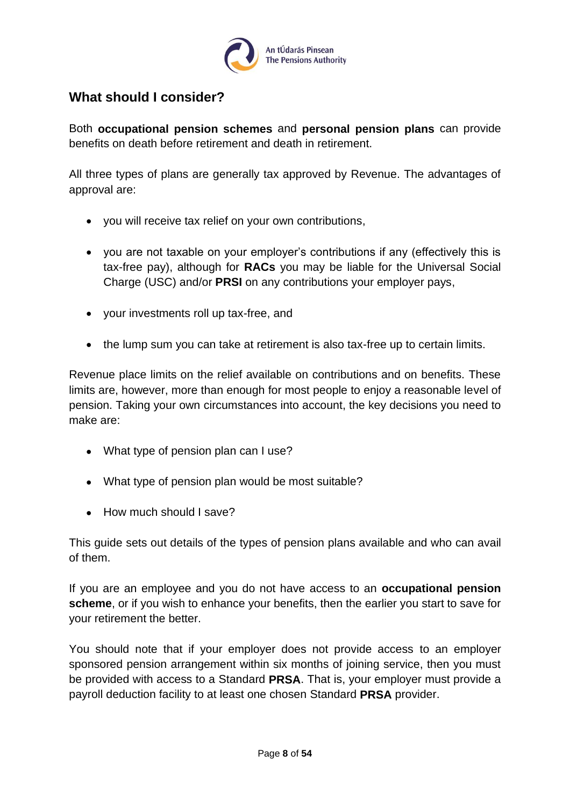

## <span id="page-7-0"></span>**What should I consider?**

Both **occupational pension schemes** and **personal pension plans** can provide benefits on death before retirement and death in retirement.

All three types of plans are generally tax approved by Revenue. The advantages of approval are:

- you will receive tax relief on your own contributions,
- you are not taxable on your employer's contributions if any (effectively this is tax-free pay), although for **RACs** you may be liable for the Universal Social Charge (USC) and/or **PRSI** on any contributions your employer pays,
- your investments roll up tax-free, and
- the lump sum you can take at retirement is also tax-free up to certain limits.

Revenue place limits on the relief available on contributions and on benefits. These limits are, however, more than enough for most people to enjoy a reasonable level of pension. Taking your own circumstances into account, the key decisions you need to make are:

- What type of pension plan can I use?
- What type of pension plan would be most suitable?
- How much should I save?

This guide sets out details of the types of pension plans available and who can avail of them.

If you are an employee and you do not have access to an **occupational pension scheme**, or if you wish to enhance your benefits, then the earlier you start to save for your retirement the better.

You should note that if your employer does not provide access to an employer sponsored pension arrangement within six months of joining service, then you must be provided with access to a Standard **PRSA**. That is, your employer must provide a payroll deduction facility to at least one chosen Standard **PRSA** provider.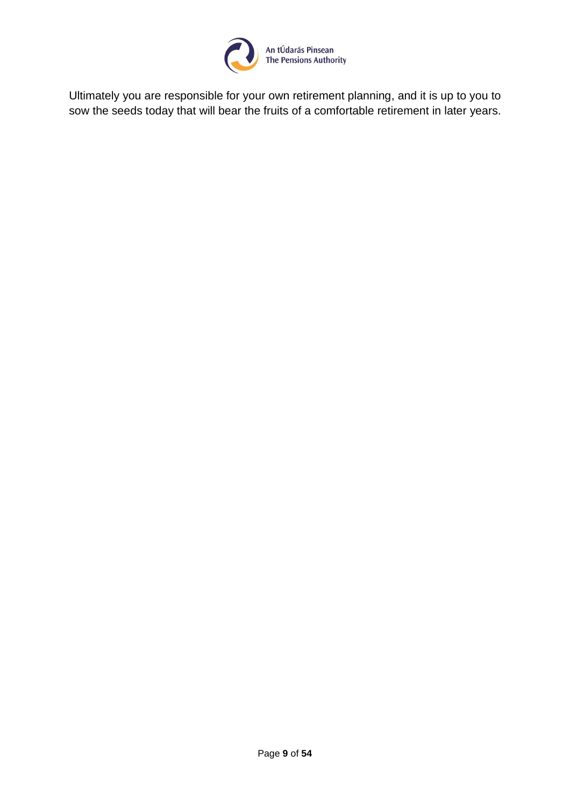

Ultimately you are responsible for your own retirement planning, and it is up to you to sow the seeds today that will bear the fruits of a comfortable retirement in later years.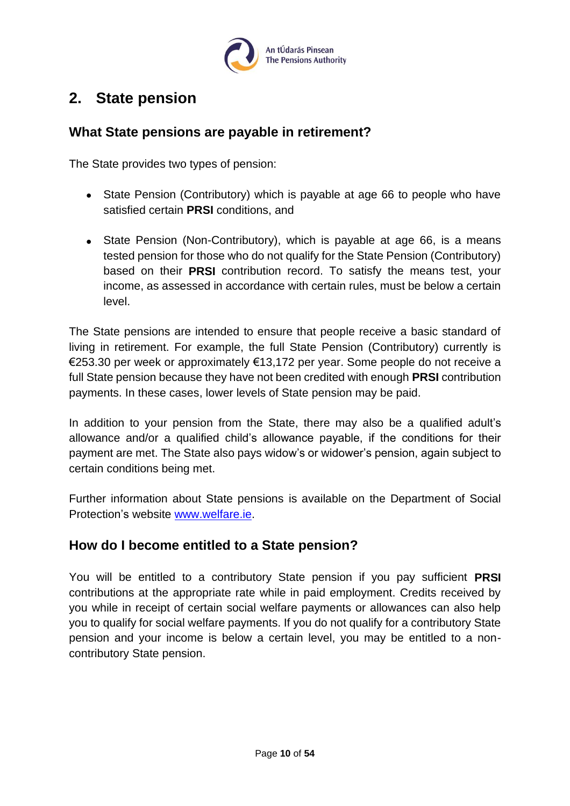

## <span id="page-9-0"></span>**2. State pension**

## <span id="page-9-1"></span>**What State pensions are payable in retirement?**

The State provides two types of pension:

- State Pension (Contributory) which is payable at age 66 to people who have satisfied certain **PRSI** conditions, and
- State Pension (Non-Contributory), which is payable at age 66, is a means tested pension for those who do not qualify for the State Pension (Contributory) based on their **PRSI** contribution record. To satisfy the means test, your income, as assessed in accordance with certain rules, must be below a certain level.

The State pensions are intended to ensure that people receive a basic standard of living in retirement. For example, the full State Pension (Contributory) currently is €253.30 per week or approximately €13,172 per year. Some people do not receive a full State pension because they have not been credited with enough **PRSI** contribution payments. In these cases, lower levels of State pension may be paid.

In addition to your pension from the State, there may also be a qualified adult's allowance and/or a qualified child's allowance payable, if the conditions for their payment are met. The State also pays widow's or widower's pension, again subject to certain conditions being met.

Further information about State pensions is available on the Department of Social Protection's website [www.welfare.ie.](http://www.welfare.ie/)

## <span id="page-9-2"></span>**How do I become entitled to a State pension?**

You will be entitled to a contributory State pension if you pay sufficient **PRSI** contributions at the appropriate rate while in paid employment. Credits received by you while in receipt of certain social welfare payments or allowances can also help you to qualify for social welfare payments. If you do not qualify for a contributory State pension and your income is below a certain level, you may be entitled to a noncontributory State pension.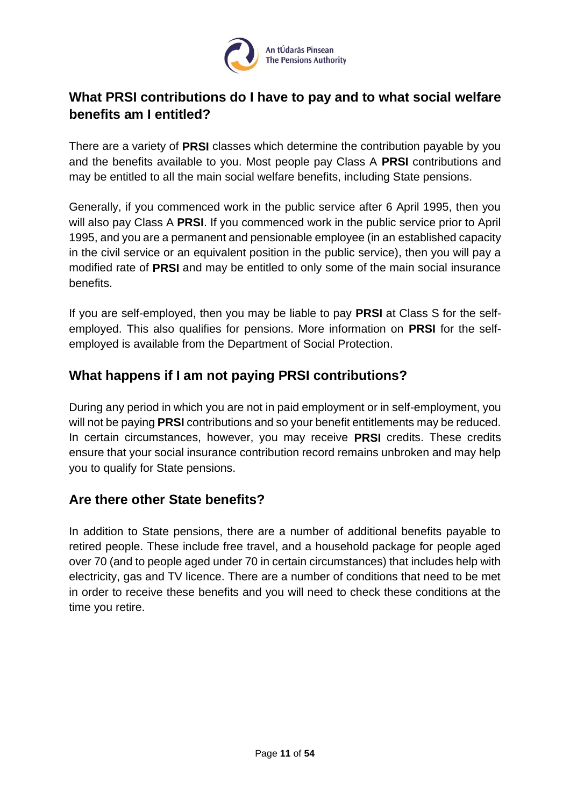

## <span id="page-10-0"></span>**What PRSI contributions do I have to pay and to what social welfare benefits am I entitled?**

There are a variety of **PRSI** classes which determine the contribution payable by you and the benefits available to you. Most people pay Class A **PRSI** contributions and may be entitled to all the main social welfare benefits, including State pensions.

Generally, if you commenced work in the public service after 6 April 1995, then you will also pay Class A **PRSI**. If you commenced work in the public service prior to April 1995, and you are a permanent and pensionable employee (in an established capacity in the civil service or an equivalent position in the public service), then you will pay a modified rate of **PRSI** and may be entitled to only some of the main social insurance benefits.

If you are self-employed, then you may be liable to pay **PRSI** at Class S for the selfemployed. This also qualifies for pensions. More information on **PRSI** for the selfemployed is available from the Department of Social Protection.

## <span id="page-10-1"></span>**What happens if I am not paying PRSI contributions?**

During any period in which you are not in paid employment or in self-employment, you will not be paying **PRSI** contributions and so your benefit entitlements may be reduced. In certain circumstances, however, you may receive **PRSI** credits. These credits ensure that your social insurance contribution record remains unbroken and may help you to qualify for State pensions.

## <span id="page-10-2"></span>**Are there other State benefits?**

In addition to State pensions, there are a number of additional benefits payable to retired people. These include free travel, and a household package for people aged over 70 (and to people aged under 70 in certain circumstances) that includes help with electricity, gas and TV licence. There are a number of conditions that need to be met in order to receive these benefits and you will need to check these conditions at the time you retire.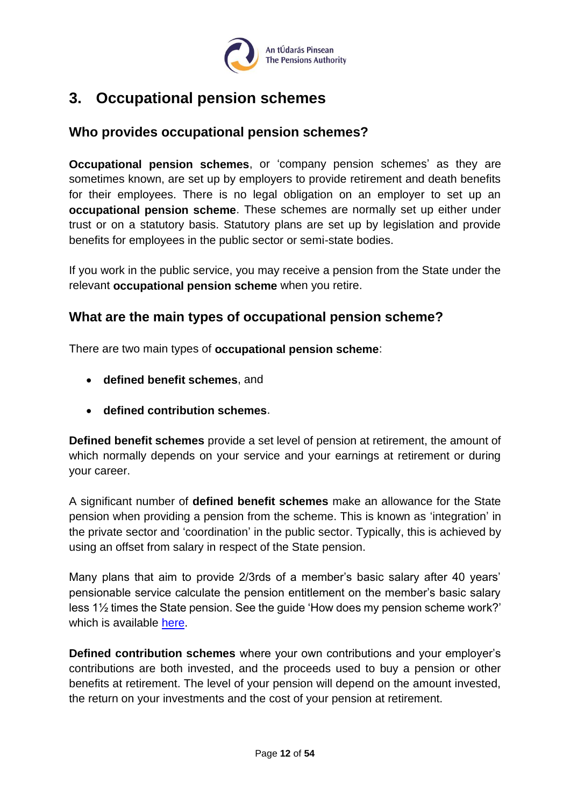

## <span id="page-11-0"></span>**3. Occupational pension schemes**

## <span id="page-11-1"></span>**Who provides occupational pension schemes?**

**Occupational pension schemes**, or 'company pension schemes' as they are sometimes known, are set up by employers to provide retirement and death benefits for their employees. There is no legal obligation on an employer to set up an **occupational pension scheme**. These schemes are normally set up either under trust or on a statutory basis. Statutory plans are set up by legislation and provide benefits for employees in the public sector or semi-state bodies.

If you work in the public service, you may receive a pension from the State under the relevant **occupational pension scheme** when you retire.

## <span id="page-11-2"></span>**What are the main types of occupational pension scheme?**

There are two main types of **occupational pension scheme**:

- **defined benefit schemes**, and
- **defined contribution schemes**.

**Defined benefit schemes** provide a set level of pension at retirement, the amount of which normally depends on your service and your earnings at retirement or during your career.

A significant number of **defined benefit schemes** make an allowance for the State pension when providing a pension from the scheme. This is known as 'integration' in the private sector and 'coordination' in the public sector. Typically, this is achieved by using an offset from salary in respect of the State pension.

Many plans that aim to provide 2/3rds of a member's basic salary after 40 years' pensionable service calculate the pension entitlement on the member's basic salary less 1½ times the State pension. See the guide 'How does my pension scheme work?' which is available [here.](https://www.pensionsauthority.ie/en/trustees_registered_administrators/checklists_and_guides/)

**Defined contribution schemes** where your own contributions and your employer's contributions are both invested, and the proceeds used to buy a pension or other benefits at retirement. The level of your pension will depend on the amount invested, the return on your investments and the cost of your pension at retirement.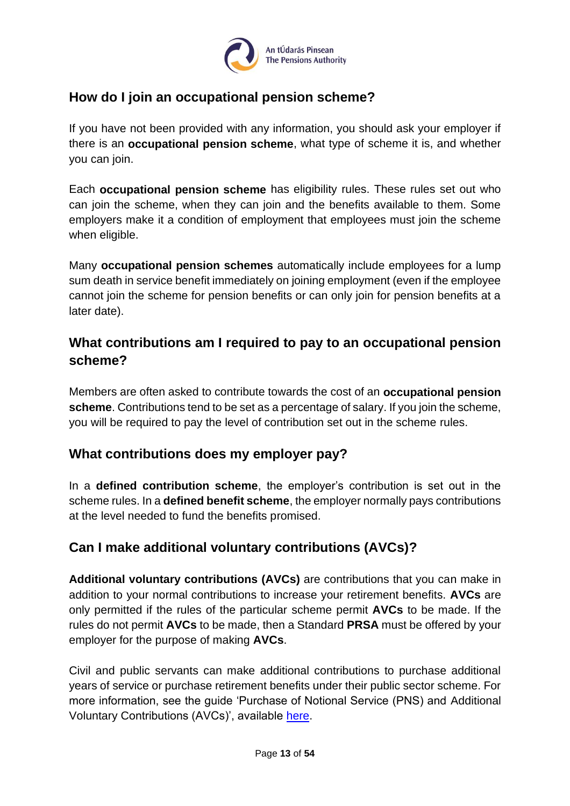

## <span id="page-12-0"></span>**How do I join an occupational pension scheme?**

If you have not been provided with any information, you should ask your employer if there is an **occupational pension scheme**, what type of scheme it is, and whether you can join.

Each **occupational pension scheme** has eligibility rules. These rules set out who can join the scheme, when they can join and the benefits available to them. Some employers make it a condition of employment that employees must join the scheme when eligible.

Many **occupational pension schemes** automatically include employees for a lump sum death in service benefit immediately on joining employment (even if the employee cannot join the scheme for pension benefits or can only join for pension benefits at a later date).

## <span id="page-12-1"></span>**What contributions am I required to pay to an occupational pension scheme?**

Members are often asked to contribute towards the cost of an **occupational pension scheme**. Contributions tend to be set as a percentage of salary. If you join the scheme, you will be required to pay the level of contribution set out in the scheme rules.

## <span id="page-12-2"></span>**What contributions does my employer pay?**

In a **defined contribution scheme**, the employer's contribution is set out in the scheme rules. In a **defined benefit scheme**, the employer normally pays contributions at the level needed to fund the benefits promised.

## <span id="page-12-3"></span>**Can I make additional voluntary contributions (AVCs)?**

**Additional voluntary contributions (AVCs)** are contributions that you can make in addition to your normal contributions to increase your retirement benefits. **AVCs** are only permitted if the rules of the particular scheme permit **AVCs** to be made. If the rules do not permit **AVCs** to be made, then a Standard **PRSA** must be offered by your employer for the purpose of making **AVCs**.

Civil and public servants can make additional contributions to purchase additional years of service or purchase retirement benefits under their public sector scheme. For more information, see the guide 'Purchase of Notional Service (PNS) and Additional Voluntary Contributions (AVCs)', available [here.](https://www.pensionsauthority.ie/en/trustees_registered_administrators/checklists_and_guides/)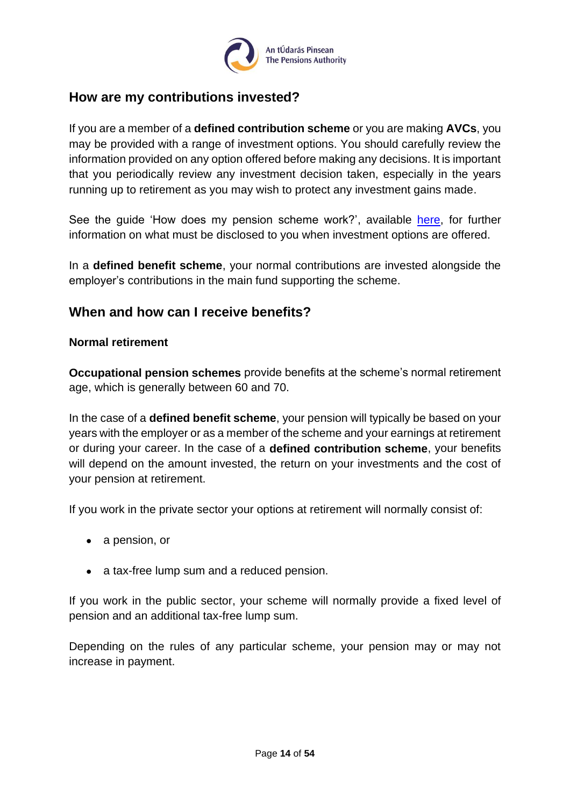

### <span id="page-13-0"></span>**How are my contributions invested?**

If you are a member of a **defined contribution scheme** or you are making **AVCs**, you may be provided with a range of investment options. You should carefully review the information provided on any option offered before making any decisions. It is important that you periodically review any investment decision taken, especially in the years running up to retirement as you may wish to protect any investment gains made.

See the guide 'How does my pension scheme work?', available [here,](https://www.pensionsauthority.ie/en/trustees_registered_administrators/checklists_and_guides/) for further information on what must be disclosed to you when investment options are offered.

In a **defined benefit scheme**, your normal contributions are invested alongside the employer's contributions in the main fund supporting the scheme.

### <span id="page-13-1"></span>**When and how can I receive benefits?**

#### <span id="page-13-2"></span>**Normal retirement**

**Occupational pension schemes** provide benefits at the scheme's normal retirement age, which is generally between 60 and 70.

In the case of a **defined benefit scheme**, your pension will typically be based on your years with the employer or as a member of the scheme and your earnings at retirement or during your career. In the case of a **defined contribution scheme**, your benefits will depend on the amount invested, the return on your investments and the cost of your pension at retirement.

If you work in the private sector your options at retirement will normally consist of:

- a pension, or
- a tax-free lump sum and a reduced pension.

If you work in the public sector, your scheme will normally provide a fixed level of pension and an additional tax-free lump sum.

Depending on the rules of any particular scheme, your pension may or may not increase in payment.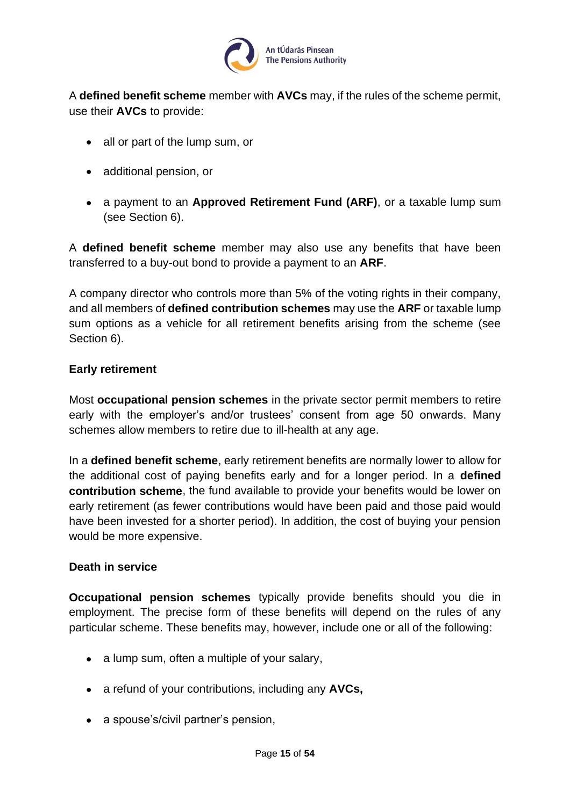

A **defined benefit scheme** member with **AVCs** may, if the rules of the scheme permit, use their **AVCs** to provide:

- all or part of the lump sum, or
- additional pension, or
- a payment to an **Approved Retirement Fund (ARF)**, or a taxable lump sum (see Section 6).

A **defined benefit scheme** member may also use any benefits that have been transferred to a buy-out bond to provide a payment to an **ARF**.

A company director who controls more than 5% of the voting rights in their company, and all members of **defined contribution schemes** may use the **ARF** or taxable lump sum options as a vehicle for all retirement benefits arising from the scheme (see Section 6).

#### <span id="page-14-0"></span>**Early retirement**

Most **occupational pension schemes** in the private sector permit members to retire early with the employer's and/or trustees' consent from age 50 onwards. Many schemes allow members to retire due to ill-health at any age.

In a **defined benefit scheme**, early retirement benefits are normally lower to allow for the additional cost of paying benefits early and for a longer period. In a **defined contribution scheme**, the fund available to provide your benefits would be lower on early retirement (as fewer contributions would have been paid and those paid would have been invested for a shorter period). In addition, the cost of buying your pension would be more expensive.

#### <span id="page-14-1"></span>**Death in service**

**Occupational pension schemes** typically provide benefits should you die in employment. The precise form of these benefits will depend on the rules of any particular scheme. These benefits may, however, include one or all of the following:

- a lump sum, often a multiple of your salary,
- a refund of your contributions, including any **AVCs,**
- a spouse's/civil partner's pension,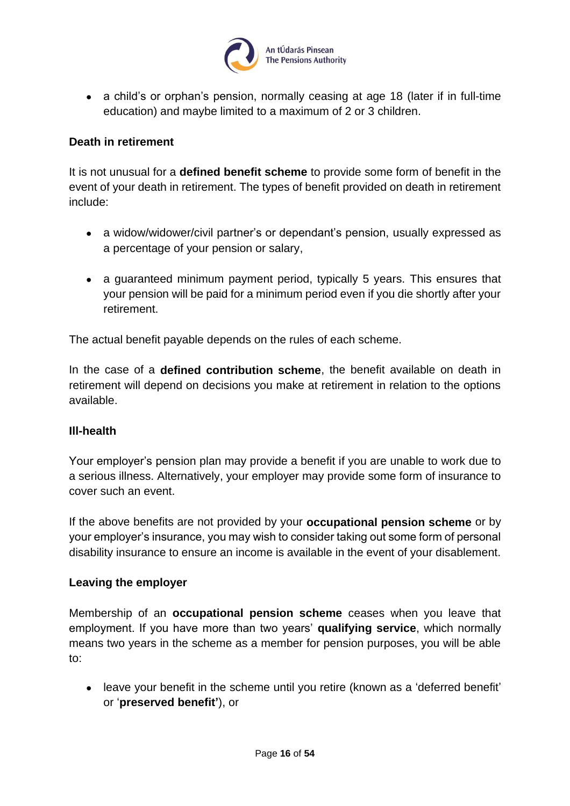

• a child's or orphan's pension, normally ceasing at age 18 (later if in full-time education) and maybe limited to a maximum of 2 or 3 children.

#### <span id="page-15-0"></span>**Death in retirement**

It is not unusual for a **defined benefit scheme** to provide some form of benefit in the event of your death in retirement. The types of benefit provided on death in retirement include:

- a widow/widower/civil partner's or dependant's pension, usually expressed as a percentage of your pension or salary,
- a guaranteed minimum payment period, typically 5 years. This ensures that your pension will be paid for a minimum period even if you die shortly after your retirement.

The actual benefit payable depends on the rules of each scheme.

In the case of a **defined contribution scheme**, the benefit available on death in retirement will depend on decisions you make at retirement in relation to the options available.

#### <span id="page-15-1"></span>**Ill-health**

Your employer's pension plan may provide a benefit if you are unable to work due to a serious illness. Alternatively, your employer may provide some form of insurance to cover such an event.

If the above benefits are not provided by your **occupational pension scheme** or by your employer's insurance, you may wish to consider taking out some form of personal disability insurance to ensure an income is available in the event of your disablement.

#### <span id="page-15-2"></span>**Leaving the employer**

Membership of an **occupational pension scheme** ceases when you leave that employment. If you have more than two years' **qualifying service**, which normally means two years in the scheme as a member for pension purposes, you will be able to:

• leave your benefit in the scheme until you retire (known as a 'deferred benefit' or '**preserved benefit'**), or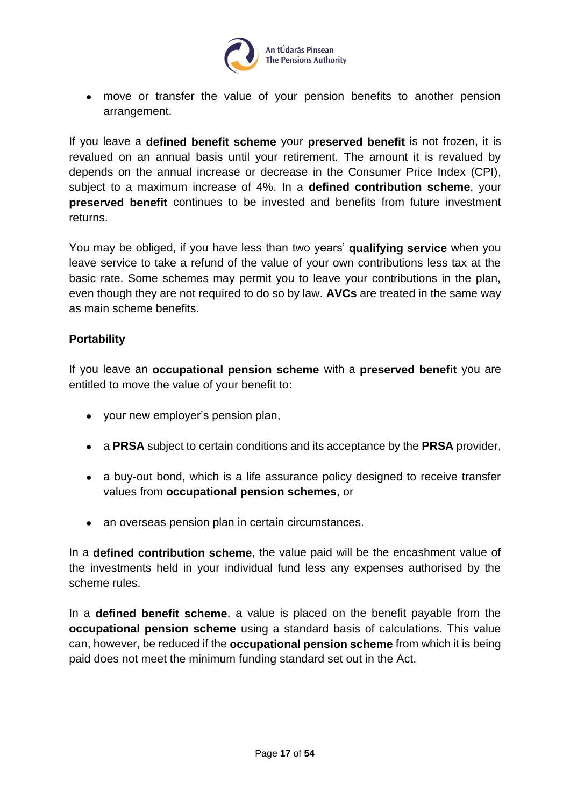

• move or transfer the value of your pension benefits to another pension arrangement.

If you leave a **defined benefit scheme** your **preserved benefit** is not frozen, it is revalued on an annual basis until your retirement. The amount it is revalued by depends on the annual increase or decrease in the Consumer Price Index (CPI), subject to a maximum increase of 4%. In a **defined contribution scheme**, your **preserved benefit** continues to be invested and benefits from future investment returns.

You may be obliged, if you have less than two years' **qualifying service** when you leave service to take a refund of the value of your own contributions less tax at the basic rate. Some schemes may permit you to leave your contributions in the plan, even though they are not required to do so by law. **AVCs** are treated in the same way as main scheme benefits.

#### <span id="page-16-0"></span>**Portability**

If you leave an **occupational pension scheme** with a **preserved benefit** you are entitled to move the value of your benefit to:

- your new employer's pension plan,
- a **PRSA** subject to certain conditions and its acceptance by the **PRSA** provider,
- a buy-out bond, which is a life assurance policy designed to receive transfer values from **occupational pension schemes**, or
- an overseas pension plan in certain circumstances.

In a **defined contribution scheme**, the value paid will be the encashment value of the investments held in your individual fund less any expenses authorised by the scheme rules.

In a **defined benefit scheme**, a value is placed on the benefit payable from the **occupational pension scheme** using a standard basis of calculations. This value can, however, be reduced if the **occupational pension scheme** from which it is being paid does not meet the minimum funding standard set out in the Act.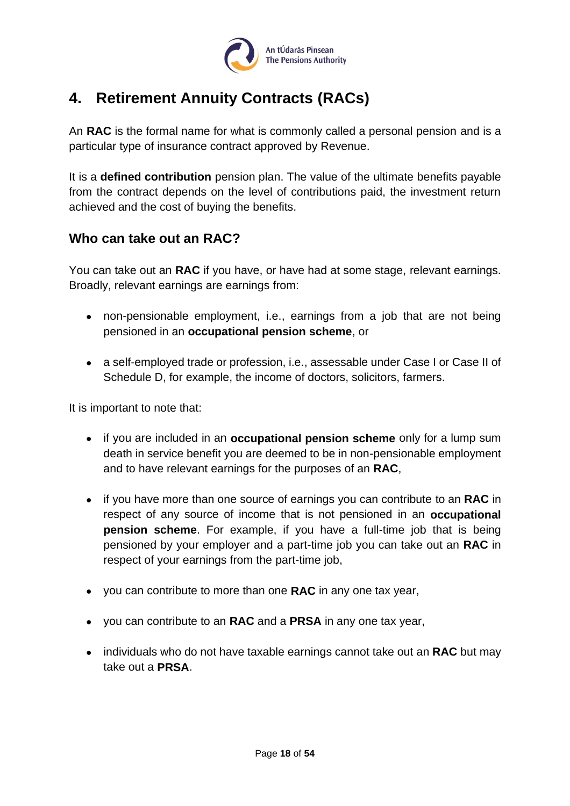

## <span id="page-17-0"></span>**4. Retirement Annuity Contracts (RACs)**

An **RAC** is the formal name for what is commonly called a personal pension and is a particular type of insurance contract approved by Revenue.

It is a **defined contribution** pension plan. The value of the ultimate benefits payable from the contract depends on the level of contributions paid, the investment return achieved and the cost of buying the benefits.

## <span id="page-17-1"></span>**Who can take out an RAC?**

You can take out an **RAC** if you have, or have had at some stage, relevant earnings. Broadly, relevant earnings are earnings from:

- non-pensionable employment, i.e., earnings from a job that are not being pensioned in an **occupational pension scheme**, or
- a self-employed trade or profession, i.e., assessable under Case I or Case II of Schedule D, for example, the income of doctors, solicitors, farmers.

It is important to note that:

- if you are included in an **occupational pension scheme** only for a lump sum death in service benefit you are deemed to be in non-pensionable employment and to have relevant earnings for the purposes of an **RAC**,
- if you have more than one source of earnings you can contribute to an **RAC** in respect of any source of income that is not pensioned in an **occupational pension scheme**. For example, if you have a full-time job that is being pensioned by your employer and a part-time job you can take out an **RAC** in respect of your earnings from the part-time job,
- you can contribute to more than one **RAC** in any one tax year,
- you can contribute to an **RAC** and a **PRSA** in any one tax year,
- individuals who do not have taxable earnings cannot take out an **RAC** but may take out a **PRSA**.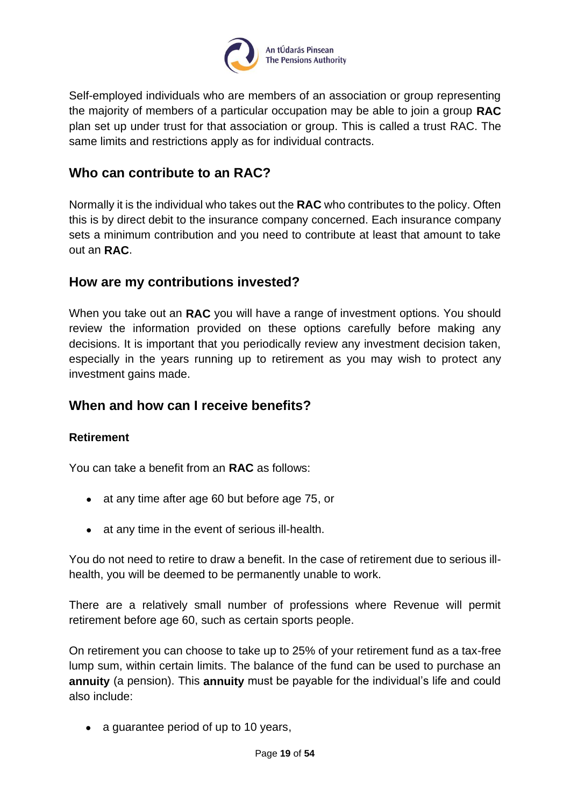

Self-employed individuals who are members of an association or group representing the majority of members of a particular occupation may be able to join a group **RAC**  plan set up under trust for that association or group. This is called a trust RAC. The same limits and restrictions apply as for individual contracts.

### <span id="page-18-0"></span>**Who can contribute to an RAC?**

Normally it is the individual who takes out the **RAC** who contributes to the policy. Often this is by direct debit to the insurance company concerned. Each insurance company sets a minimum contribution and you need to contribute at least that amount to take out an **RAC**.

#### <span id="page-18-1"></span>**How are my contributions invested?**

When you take out an **RAC** you will have a range of investment options. You should review the information provided on these options carefully before making any decisions. It is important that you periodically review any investment decision taken, especially in the years running up to retirement as you may wish to protect any investment gains made.

#### <span id="page-18-2"></span>**When and how can I receive benefits?**

#### <span id="page-18-3"></span>**Retirement**

You can take a benefit from an **RAC** as follows:

- at any time after age 60 but before age 75, or
- at any time in the event of serious ill-health.

You do not need to retire to draw a benefit. In the case of retirement due to serious illhealth, you will be deemed to be permanently unable to work.

There are a relatively small number of professions where Revenue will permit retirement before age 60, such as certain sports people.

On retirement you can choose to take up to 25% of your retirement fund as a tax-free lump sum, within certain limits. The balance of the fund can be used to purchase an **annuity** (a pension). This **annuity** must be payable for the individual's life and could also include:

• a guarantee period of up to 10 years,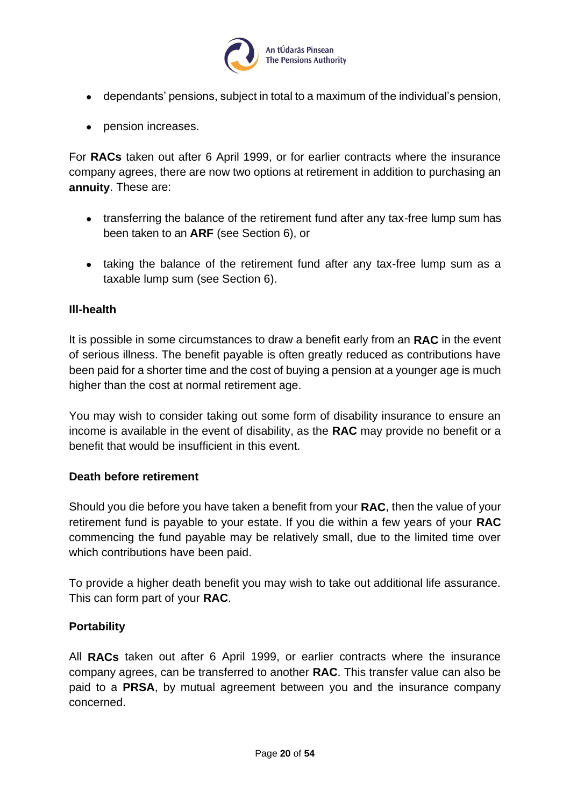

- dependants' pensions, subject in total to a maximum of the individual's pension,
- pension increases.

For **RACs** taken out after 6 April 1999, or for earlier contracts where the insurance company agrees, there are now two options at retirement in addition to purchasing an **annuity**. These are:

- transferring the balance of the retirement fund after any tax-free lump sum has been taken to an **ARF** (see Section 6), or
- taking the balance of the retirement fund after any tax-free lump sum as a taxable lump sum (see Section 6).

#### <span id="page-19-0"></span>**Ill-health**

It is possible in some circumstances to draw a benefit early from an **RAC** in the event of serious illness. The benefit payable is often greatly reduced as contributions have been paid for a shorter time and the cost of buying a pension at a younger age is much higher than the cost at normal retirement age.

You may wish to consider taking out some form of disability insurance to ensure an income is available in the event of disability, as the **RAC** may provide no benefit or a benefit that would be insufficient in this event.

#### <span id="page-19-1"></span>**Death before retirement**

Should you die before you have taken a benefit from your **RAC**, then the value of your retirement fund is payable to your estate. If you die within a few years of your **RAC** commencing the fund payable may be relatively small, due to the limited time over which contributions have been paid.

To provide a higher death benefit you may wish to take out additional life assurance. This can form part of your **RAC**.

#### <span id="page-19-2"></span>**Portability**

All **RACs** taken out after 6 April 1999, or earlier contracts where the insurance company agrees, can be transferred to another **RAC**. This transfer value can also be paid to a **PRSA**, by mutual agreement between you and the insurance company concerned.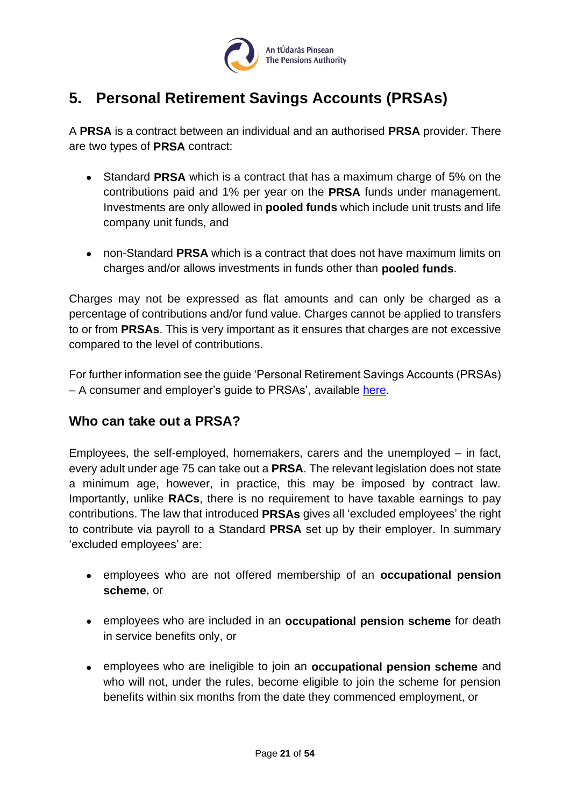

## <span id="page-20-0"></span>**5. Personal Retirement Savings Accounts (PRSAs)**

A **PRSA** is a contract between an individual and an authorised **PRSA** provider. There are two types of **PRSA** contract:

- Standard **PRSA** which is a contract that has a maximum charge of 5% on the contributions paid and 1% per year on the **PRSA** funds under management. Investments are only allowed in **pooled funds** which include unit trusts and life company unit funds, and
- non-Standard **PRSA** which is a contract that does not have maximum limits on charges and/or allows investments in funds other than **pooled funds**.

Charges may not be expressed as flat amounts and can only be charged as a percentage of contributions and/or fund value. Charges cannot be applied to transfers to or from **PRSAs**. This is very important as it ensures that charges are not excessive compared to the level of contributions.

For further information see the guide 'Personal Retirement Savings Accounts (PRSAs) – A consumer and employer's guide to PRSAs', available [here.](https://www.pensionsauthority.ie/en/trustees_registered_administrators/checklists_and_guides/)

## <span id="page-20-1"></span>**Who can take out a PRSA?**

Employees, the self-employed, homemakers, carers and the unemployed – in fact, every adult under age 75 can take out a **PRSA**. The relevant legislation does not state a minimum age, however, in practice, this may be imposed by contract law. Importantly, unlike **RACs**, there is no requirement to have taxable earnings to pay contributions. The law that introduced **PRSAs** gives all 'excluded employees' the right to contribute via payroll to a Standard **PRSA** set up by their employer. In summary 'excluded employees' are:

- employees who are not offered membership of an **occupational pension scheme**, or
- employees who are included in an **occupational pension scheme** for death in service benefits only, or
- employees who are ineligible to join an **occupational pension scheme** and who will not, under the rules, become eligible to join the scheme for pension benefits within six months from the date they commenced employment, or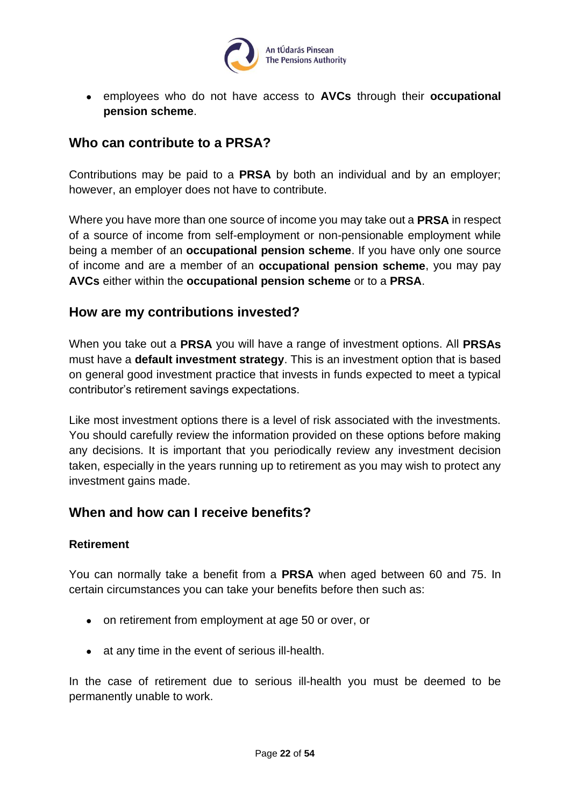

• employees who do not have access to **AVCs** through their **occupational pension scheme**.

### <span id="page-21-0"></span>**Who can contribute to a PRSA?**

Contributions may be paid to a **PRSA** by both an individual and by an employer; however, an employer does not have to contribute.

Where you have more than one source of income you may take out a **PRSA** in respect of a source of income from self-employment or non-pensionable employment while being a member of an **occupational pension scheme**. If you have only one source of income and are a member of an **occupational pension scheme**, you may pay **AVCs** either within the **occupational pension scheme** or to a **PRSA**.

#### <span id="page-21-1"></span>**How are my contributions invested?**

When you take out a **PRSA** you will have a range of investment options. All **PRSAs** must have a **default investment strategy**. This is an investment option that is based on general good investment practice that invests in funds expected to meet a typical contributor's retirement savings expectations.

Like most investment options there is a level of risk associated with the investments. You should carefully review the information provided on these options before making any decisions. It is important that you periodically review any investment decision taken, especially in the years running up to retirement as you may wish to protect any investment gains made.

#### <span id="page-21-2"></span>**When and how can I receive benefits?**

#### <span id="page-21-3"></span>**Retirement**

You can normally take a benefit from a **PRSA** when aged between 60 and 75. In certain circumstances you can take your benefits before then such as:

- on retirement from employment at age 50 or over, or
- at any time in the event of serious ill-health.

In the case of retirement due to serious ill-health you must be deemed to be permanently unable to work.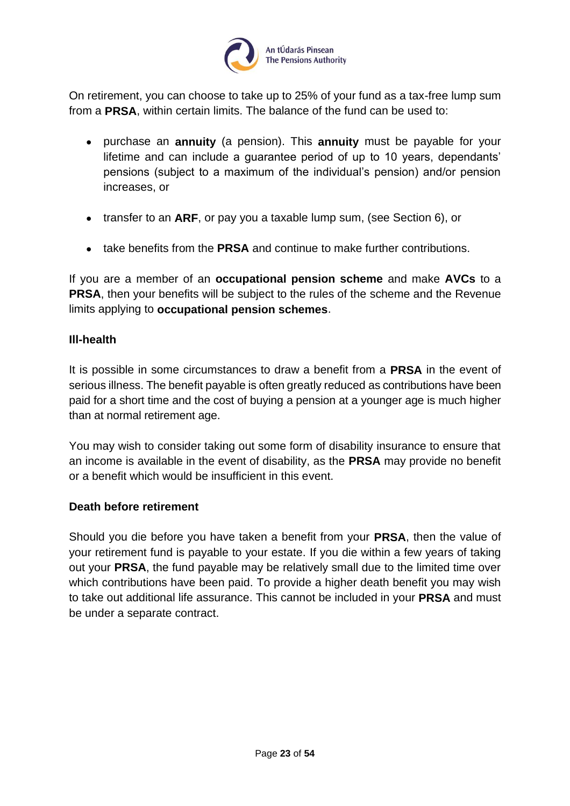

On retirement, you can choose to take up to 25% of your fund as a tax-free lump sum from a **PRSA**, within certain limits. The balance of the fund can be used to:

- purchase an **annuity** (a pension). This **annuity** must be payable for your lifetime and can include a guarantee period of up to 10 years, dependants' pensions (subject to a maximum of the individual's pension) and/or pension increases, or
- transfer to an **ARF**, or pay you a taxable lump sum, (see Section 6), or
- take benefits from the **PRSA** and continue to make further contributions.

If you are a member of an **occupational pension scheme** and make **AVCs** to a **PRSA**, then your benefits will be subject to the rules of the scheme and the Revenue limits applying to **occupational pension schemes**.

#### <span id="page-22-0"></span>**Ill-health**

It is possible in some circumstances to draw a benefit from a **PRSA** in the event of serious illness. The benefit payable is often greatly reduced as contributions have been paid for a short time and the cost of buying a pension at a younger age is much higher than at normal retirement age.

You may wish to consider taking out some form of disability insurance to ensure that an income is available in the event of disability, as the **PRSA** may provide no benefit or a benefit which would be insufficient in this event.

#### <span id="page-22-1"></span>**Death before retirement**

Should you die before you have taken a benefit from your **PRSA**, then the value of your retirement fund is payable to your estate. If you die within a few years of taking out your **PRSA**, the fund payable may be relatively small due to the limited time over which contributions have been paid. To provide a higher death benefit you may wish to take out additional life assurance. This cannot be included in your **PRSA** and must be under a separate contract.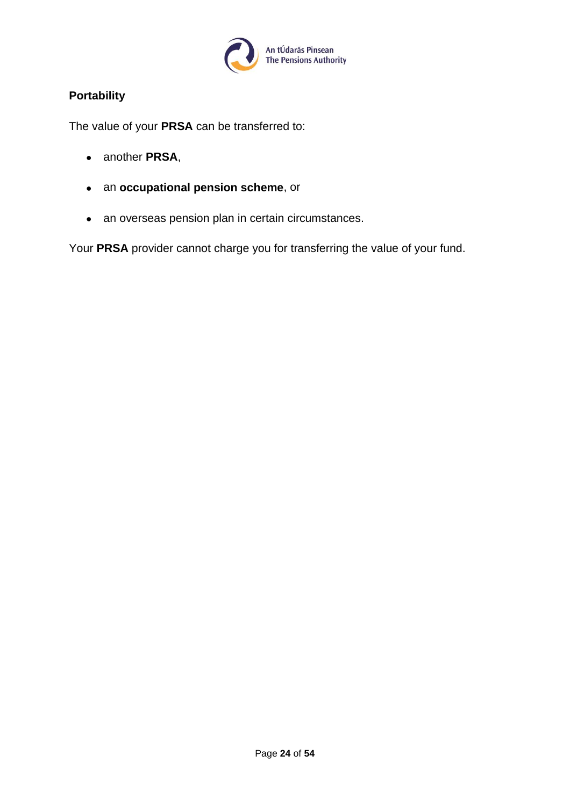

#### <span id="page-23-0"></span>**Portability**

The value of your **PRSA** can be transferred to:

- another **PRSA**,
- an **occupational pension scheme**, or
- an overseas pension plan in certain circumstances.

Your **PRSA** provider cannot charge you for transferring the value of your fund.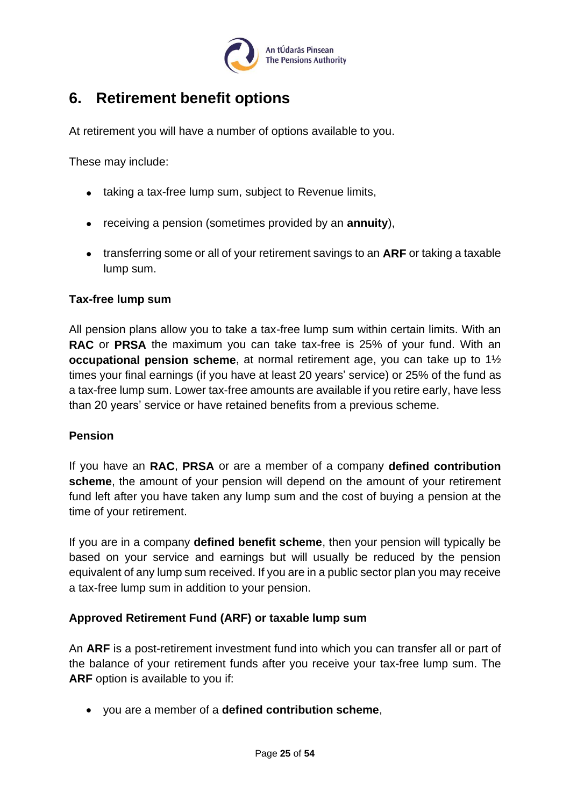

## <span id="page-24-0"></span>**6. Retirement benefit options**

At retirement you will have a number of options available to you.

These may include:

- taking a tax-free lump sum, subject to Revenue limits,
- receiving a pension (sometimes provided by an **annuity**),
- transferring some or all of your retirement savings to an **ARF** or taking a taxable lump sum.

#### <span id="page-24-1"></span>**Tax-free lump sum**

All pension plans allow you to take a tax-free lump sum within certain limits. With an **RAC** or **PRSA** the maximum you can take tax-free is 25% of your fund. With an **occupational pension scheme**, at normal retirement age, you can take up to 1½ times your final earnings (if you have at least 20 years' service) or 25% of the fund as a tax-free lump sum. Lower tax-free amounts are available if you retire early, have less than 20 years' service or have retained benefits from a previous scheme.

#### <span id="page-24-2"></span>**Pension**

If you have an **RAC**, **PRSA** or are a member of a company **defined contribution scheme**, the amount of your pension will depend on the amount of your retirement fund left after you have taken any lump sum and the cost of buying a pension at the time of your retirement.

If you are in a company **defined benefit scheme**, then your pension will typically be based on your service and earnings but will usually be reduced by the pension equivalent of any lump sum received. If you are in a public sector plan you may receive a tax-free lump sum in addition to your pension.

#### <span id="page-24-3"></span>**Approved Retirement Fund (ARF) or taxable lump sum**

An **ARF** is a post-retirement investment fund into which you can transfer all or part of the balance of your retirement funds after you receive your tax-free lump sum. The **ARF** option is available to you if:

• you are a member of a **defined contribution scheme**,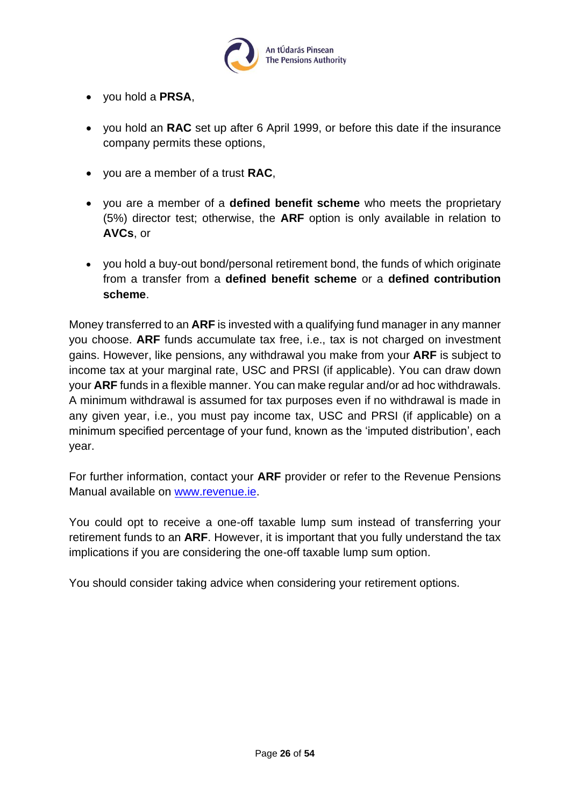

- you hold a **PRSA**,
- you hold an **RAC** set up after 6 April 1999, or before this date if the insurance company permits these options,
- you are a member of a trust **RAC**,
- you are a member of a **defined benefit scheme** who meets the proprietary (5%) director test; otherwise, the **ARF** option is only available in relation to **AVCs**, or
- you hold a buy-out bond/personal retirement bond, the funds of which originate from a transfer from a **defined benefit scheme** or a **defined contribution scheme**.

Money transferred to an **ARF** is invested with a qualifying fund manager in any manner you choose. **ARF** funds accumulate tax free, i.e., tax is not charged on investment gains. However, like pensions, any withdrawal you make from your **ARF** is subject to income tax at your marginal rate, USC and PRSI (if applicable). You can draw down your **ARF** funds in a flexible manner. You can make regular and/or ad hoc withdrawals. A minimum withdrawal is assumed for tax purposes even if no withdrawal is made in any given year, i.e., you must pay income tax, USC and PRSI (if applicable) on a minimum specified percentage of your fund, known as the 'imputed distribution', each year.

For further information, contact your **ARF** provider or refer to the Revenue Pensions Manual available on [www.revenue.ie.](http://www.revenue.ie/)

You could opt to receive a one-off taxable lump sum instead of transferring your retirement funds to an **ARF**. However, it is important that you fully understand the tax implications if you are considering the one-off taxable lump sum option.

You should consider taking advice when considering your retirement options.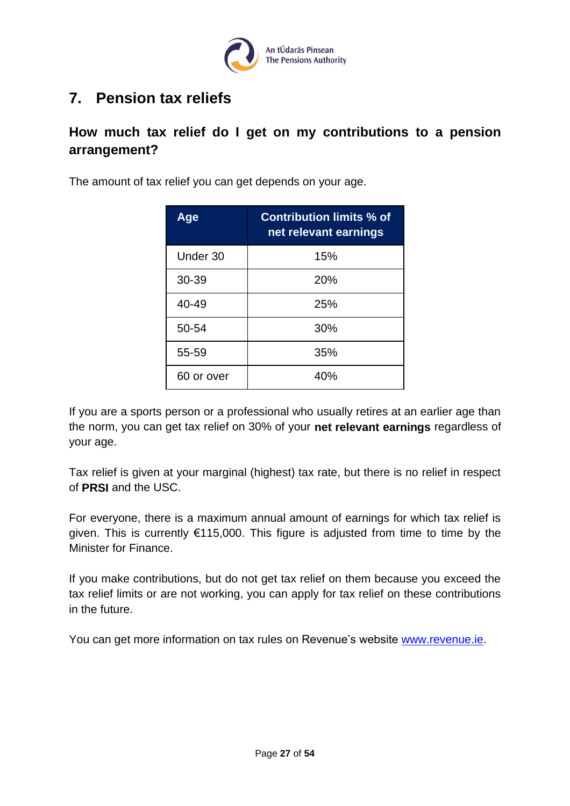

## <span id="page-26-0"></span>**7. Pension tax reliefs**

## <span id="page-26-1"></span>**How much tax relief do I get on my contributions to a pension arrangement?**

The amount of tax relief you can get depends on your age.

| Age        | <b>Contribution limits % of</b><br>net relevant earnings |
|------------|----------------------------------------------------------|
| Under 30   | 15%                                                      |
| 30-39      | 20%                                                      |
| 40-49      | 25%                                                      |
| 50-54      | 30%                                                      |
| 55-59      | 35%                                                      |
| 60 or over | 40%                                                      |

If you are a sports person or a professional who usually retires at an earlier age than the norm, you can get tax relief on 30% of your **net relevant earnings** regardless of your age.

Tax relief is given at your marginal (highest) tax rate, but there is no relief in respect of **PRSI** and the USC.

For everyone, there is a maximum annual amount of earnings for which tax relief is given. This is currently €115,000. This figure is adjusted from time to time by the Minister for Finance.

If you make contributions, but do not get tax relief on them because you exceed the tax relief limits or are not working, you can apply for tax relief on these contributions in the future.

You can get more information on tax rules on Revenue's website [www.revenue.ie.](http://www.revenue.ie/)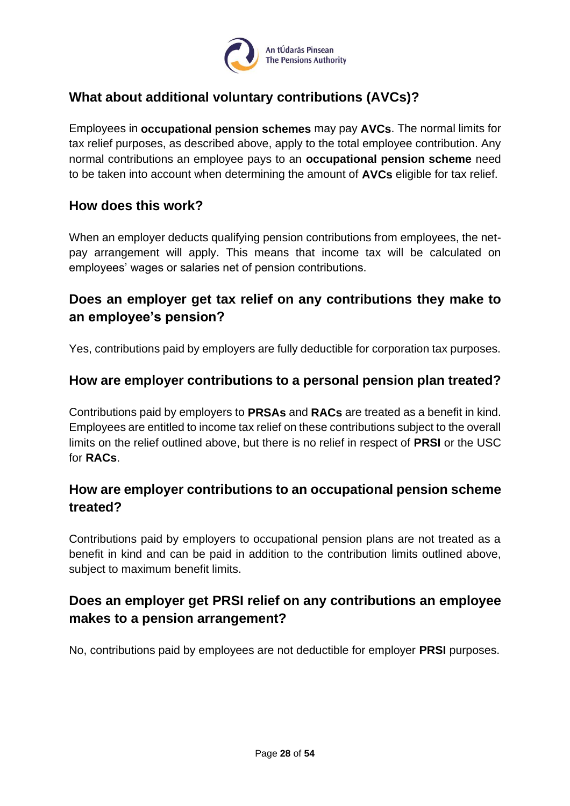

## <span id="page-27-0"></span>**What about additional voluntary contributions (AVCs)?**

Employees in **occupational pension schemes** may pay **AVCs**. The normal limits for tax relief purposes, as described above, apply to the total employee contribution. Any normal contributions an employee pays to an **occupational pension scheme** need to be taken into account when determining the amount of **AVCs** eligible for tax relief.

## <span id="page-27-1"></span>**How does this work?**

When an employer deducts qualifying pension contributions from employees, the netpay arrangement will apply. This means that income tax will be calculated on employees' wages or salaries net of pension contributions.

## <span id="page-27-2"></span>**Does an employer get tax relief on any contributions they make to an employee's pension?**

Yes, contributions paid by employers are fully deductible for corporation tax purposes.

### <span id="page-27-3"></span>**How are employer contributions to a personal pension plan treated?**

Contributions paid by employers to **PRSAs** and **RACs** are treated as a benefit in kind. Employees are entitled to income tax relief on these contributions subject to the overall limits on the relief outlined above, but there is no relief in respect of **PRSI** or the USC for **RACs**.

## <span id="page-27-4"></span>**How are employer contributions to an occupational pension scheme treated?**

Contributions paid by employers to occupational pension plans are not treated as a benefit in kind and can be paid in addition to the contribution limits outlined above, subject to maximum benefit limits.

## <span id="page-27-5"></span>**Does an employer get PRSI relief on any contributions an employee makes to a pension arrangement?**

No, contributions paid by employees are not deductible for employer **PRSI** purposes.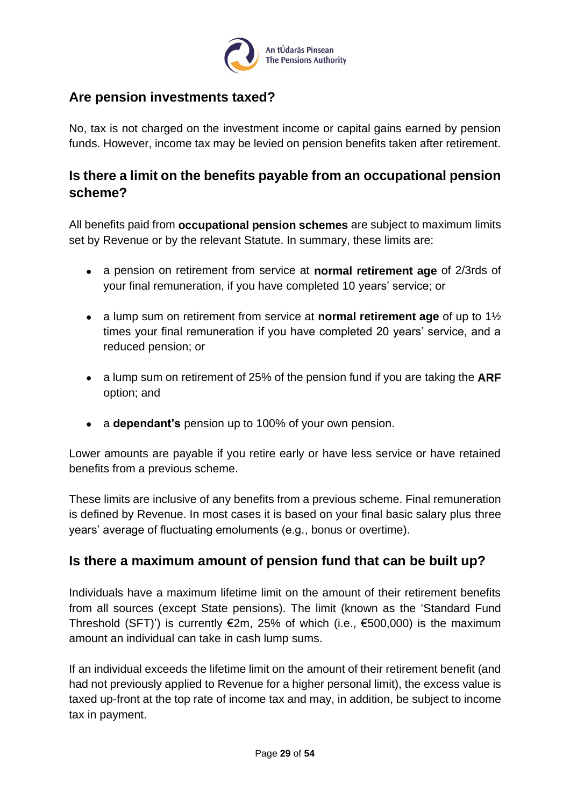

## <span id="page-28-0"></span>**Are pension investments taxed?**

No, tax is not charged on the investment income or capital gains earned by pension funds. However, income tax may be levied on pension benefits taken after retirement.

## <span id="page-28-1"></span>**Is there a limit on the benefits payable from an occupational pension scheme?**

All benefits paid from **occupational pension schemes** are subject to maximum limits set by Revenue or by the relevant Statute. In summary, these limits are:

- a pension on retirement from service at **normal retirement age** of 2/3rds of your final remuneration, if you have completed 10 years' service; or
- a lump sum on retirement from service at **normal retirement age** of up to 1½ times your final remuneration if you have completed 20 years' service, and a reduced pension; or
- a lump sum on retirement of 25% of the pension fund if you are taking the **ARF** option; and
- a **dependant's** pension up to 100% of your own pension.

Lower amounts are payable if you retire early or have less service or have retained benefits from a previous scheme.

These limits are inclusive of any benefits from a previous scheme. Final remuneration is defined by Revenue. In most cases it is based on your final basic salary plus three years' average of fluctuating emoluments (e.g., bonus or overtime).

## <span id="page-28-2"></span>**Is there a maximum amount of pension fund that can be built up?**

Individuals have a maximum lifetime limit on the amount of their retirement benefits from all sources (except State pensions). The limit (known as the 'Standard Fund Threshold (SFT)') is currently  $\epsilon$ 2m, 25% of which (i.e.,  $\epsilon$ 500,000) is the maximum amount an individual can take in cash lump sums.

If an individual exceeds the lifetime limit on the amount of their retirement benefit (and had not previously applied to Revenue for a higher personal limit), the excess value is taxed up-front at the top rate of income tax and may, in addition, be subject to income tax in payment.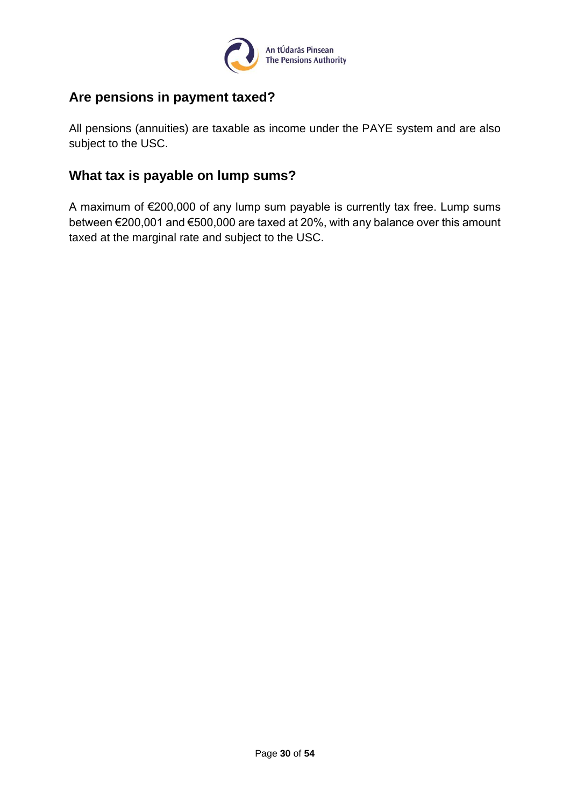

## <span id="page-29-0"></span>**Are pensions in payment taxed?**

All pensions (annuities) are taxable as income under the PAYE system and are also subject to the USC.

## <span id="page-29-1"></span>**What tax is payable on lump sums?**

A maximum of €200,000 of any lump sum payable is currently tax free. Lump sums between €200,001 and €500,000 are taxed at 20%, with any balance over this amount taxed at the marginal rate and subject to the USC.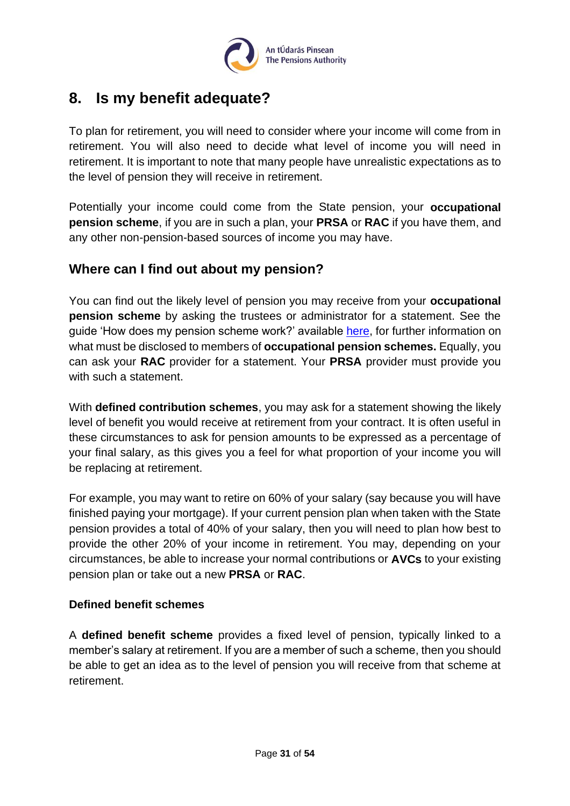

## <span id="page-30-0"></span>**8. Is my benefit adequate?**

To plan for retirement, you will need to consider where your income will come from in retirement. You will also need to decide what level of income you will need in retirement. It is important to note that many people have unrealistic expectations as to the level of pension they will receive in retirement.

Potentially your income could come from the State pension, your **occupational pension scheme**, if you are in such a plan, your **PRSA** or **RAC** if you have them, and any other non-pension-based sources of income you may have.

## <span id="page-30-1"></span>**Where can I find out about my pension?**

You can find out the likely level of pension you may receive from your **occupational pension scheme** by asking the trustees or administrator for a statement. See the guide 'How does my pension scheme work?' available [here,](https://www.pensionsauthority.ie/en/trustees_registered_administrators/checklists_and_guides/) for further information on what must be disclosed to members of **occupational pension schemes.** Equally, you can ask your **RAC** provider for a statement. Your **PRSA** provider must provide you with such a statement.

With **defined contribution schemes**, you may ask for a statement showing the likely level of benefit you would receive at retirement from your contract. It is often useful in these circumstances to ask for pension amounts to be expressed as a percentage of your final salary, as this gives you a feel for what proportion of your income you will be replacing at retirement.

For example, you may want to retire on 60% of your salary (say because you will have finished paying your mortgage). If your current pension plan when taken with the State pension provides a total of 40% of your salary, then you will need to plan how best to provide the other 20% of your income in retirement. You may, depending on your circumstances, be able to increase your normal contributions or **AVCs** to your existing pension plan or take out a new **PRSA** or **RAC**.

#### <span id="page-30-2"></span>**Defined benefit schemes**

A **defined benefit scheme** provides a fixed level of pension, typically linked to a member's salary at retirement. If you are a member of such a scheme, then you should be able to get an idea as to the level of pension you will receive from that scheme at retirement.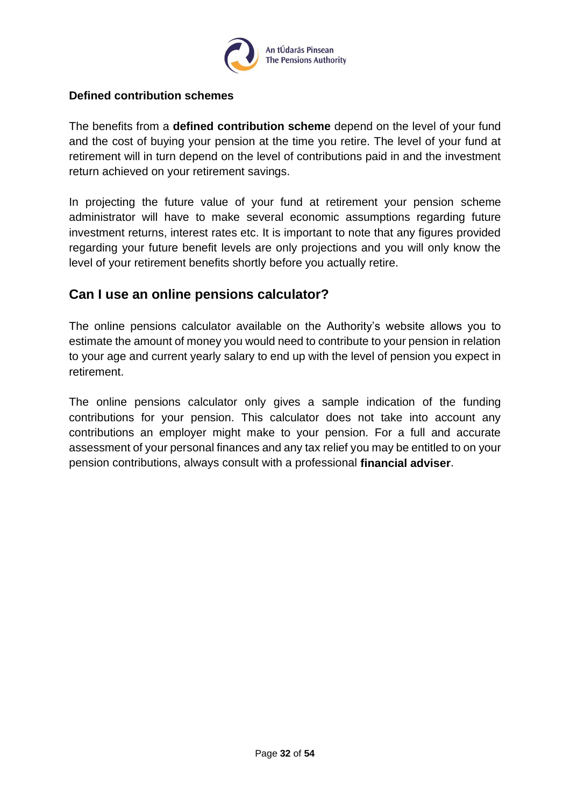

#### <span id="page-31-0"></span>**Defined contribution schemes**

The benefits from a **defined contribution scheme** depend on the level of your fund and the cost of buying your pension at the time you retire. The level of your fund at retirement will in turn depend on the level of contributions paid in and the investment return achieved on your retirement savings.

In projecting the future value of your fund at retirement your pension scheme administrator will have to make several economic assumptions regarding future investment returns, interest rates etc. It is important to note that any figures provided regarding your future benefit levels are only projections and you will only know the level of your retirement benefits shortly before you actually retire.

### <span id="page-31-1"></span>**Can I use an online pensions calculator?**

The online pensions calculator available on the Authority's website allows you to estimate the amount of money you would need to contribute to your pension in relation to your age and current yearly salary to end up with the level of pension you expect in retirement.

The online pensions calculator only gives a sample indication of the funding contributions for your pension. This calculator does not take into account any contributions an employer might make to your pension. For a full and accurate assessment of your personal finances and any tax relief you may be entitled to on your pension contributions, always consult with a professional **financial adviser**.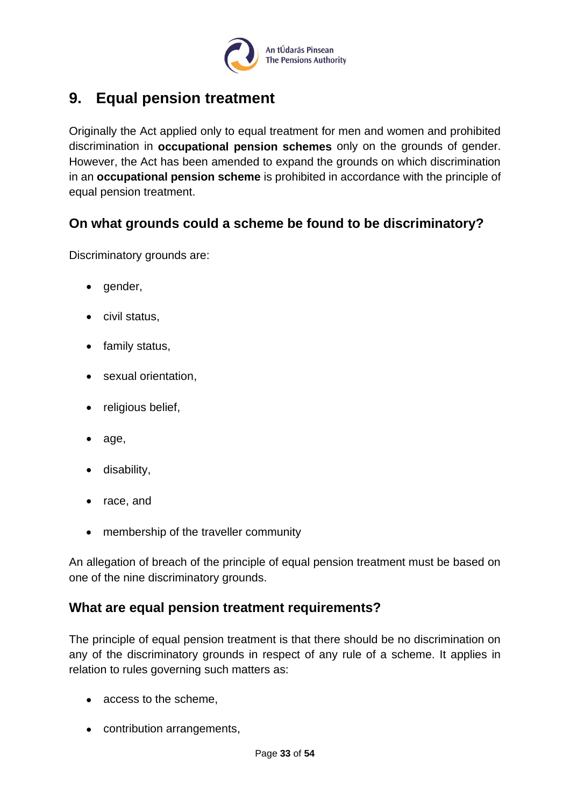

## <span id="page-32-0"></span>**9. Equal pension treatment**

Originally the Act applied only to equal treatment for men and women and prohibited discrimination in **occupational pension schemes** only on the grounds of gender. However, the Act has been amended to expand the grounds on which discrimination in an **occupational pension scheme** is prohibited in accordance with the principle of equal pension treatment.

## <span id="page-32-1"></span>**On what grounds could a scheme be found to be discriminatory?**

Discriminatory grounds are:

- gender,
- civil status,
- family status,
- sexual orientation,
- religious belief,
- age,
- disability,
- race, and
- membership of the traveller community

An allegation of breach of the principle of equal pension treatment must be based on one of the nine discriminatory grounds.

#### <span id="page-32-2"></span>**What are equal pension treatment requirements?**

The principle of equal pension treatment is that there should be no discrimination on any of the discriminatory grounds in respect of any rule of a scheme. It applies in relation to rules governing such matters as:

- access to the scheme,
- contribution arrangements,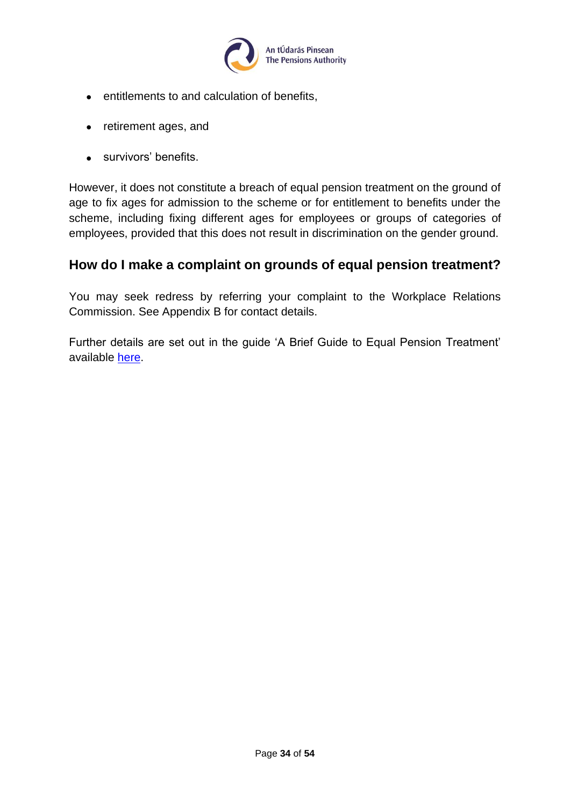

- entitlements to and calculation of benefits,
- retirement ages, and
- survivors' benefits.

However, it does not constitute a breach of equal pension treatment on the ground of age to fix ages for admission to the scheme or for entitlement to benefits under the scheme, including fixing different ages for employees or groups of categories of employees, provided that this does not result in discrimination on the gender ground.

### <span id="page-33-0"></span>**How do I make a complaint on grounds of equal pension treatment?**

You may seek redress by referring your complaint to the Workplace Relations Commission. See Appendix B for contact details.

Further details are set out in the guide 'A Brief Guide to Equal Pension Treatment' available [here.](https://www.pensionsauthority.ie/en/trustees_registered_administrators/checklists_and_guides/)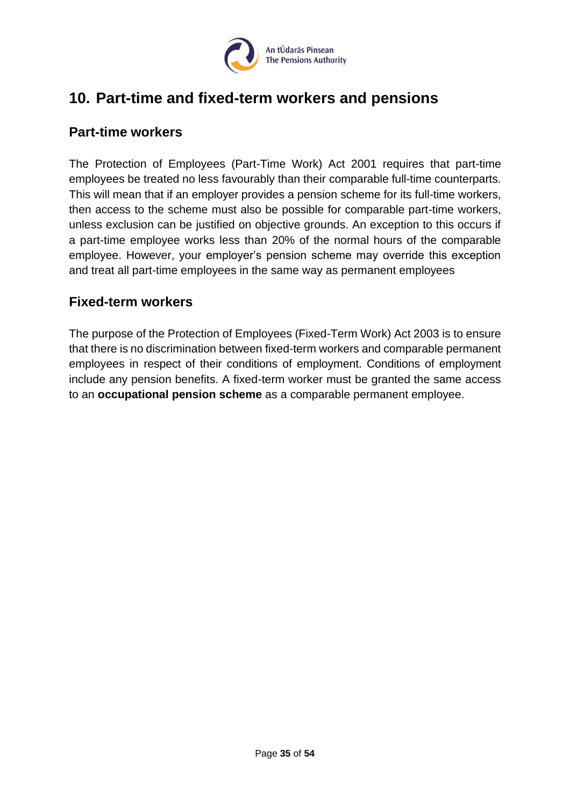

## <span id="page-34-0"></span>**10. Part-time and fixed-term workers and pensions**

### <span id="page-34-1"></span>**Part-time workers**

The Protection of Employees (Part-Time Work) Act 2001 requires that part-time employees be treated no less favourably than their comparable full-time counterparts. This will mean that if an employer provides a pension scheme for its full-time workers, then access to the scheme must also be possible for comparable part-time workers, unless exclusion can be justified on objective grounds. An exception to this occurs if a part-time employee works less than 20% of the normal hours of the comparable employee. However, your employer's pension scheme may override this exception and treat all part-time employees in the same way as permanent employees

### <span id="page-34-2"></span>**Fixed-term workers**

The purpose of the Protection of Employees (Fixed-Term Work) Act 2003 is to ensure that there is no discrimination between fixed-term workers and comparable permanent employees in respect of their conditions of employment. Conditions of employment include any pension benefits. A fixed-term worker must be granted the same access to an **occupational pension scheme** as a comparable permanent employee.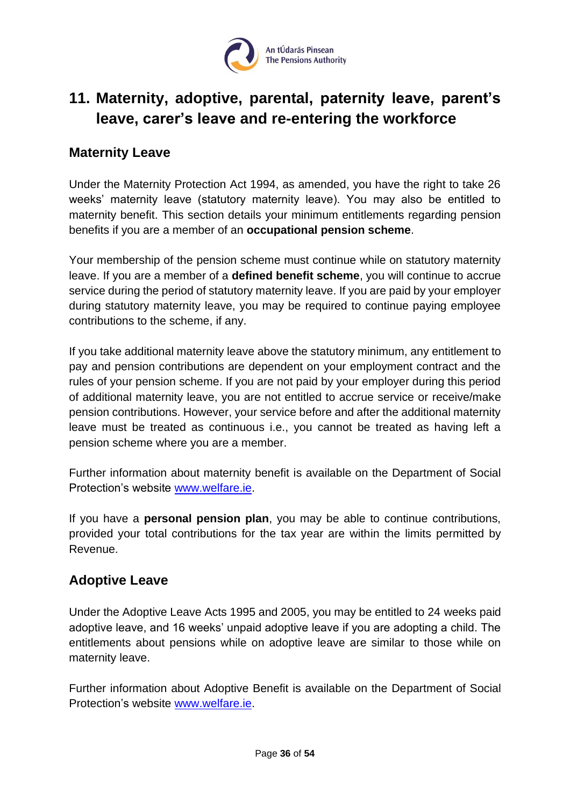

## <span id="page-35-0"></span>**11. Maternity, adoptive, parental, paternity leave, parent's leave, carer's leave and re-entering the workforce**

### <span id="page-35-1"></span>**Maternity Leave**

Under the Maternity Protection Act 1994, as amended, you have the right to take 26 weeks' maternity leave (statutory maternity leave). You may also be entitled to maternity benefit. This section details your minimum entitlements regarding pension benefits if you are a member of an **occupational pension scheme**.

Your membership of the pension scheme must continue while on statutory maternity leave. If you are a member of a **defined benefit scheme**, you will continue to accrue service during the period of statutory maternity leave. If you are paid by your employer during statutory maternity leave, you may be required to continue paying employee contributions to the scheme, if any.

If you take additional maternity leave above the statutory minimum, any entitlement to pay and pension contributions are dependent on your employment contract and the rules of your pension scheme. If you are not paid by your employer during this period of additional maternity leave, you are not entitled to accrue service or receive/make pension contributions. However, your service before and after the additional maternity leave must be treated as continuous i.e., you cannot be treated as having left a pension scheme where you are a member.

Further information about maternity benefit is available on the Department of Social Protection's website [www.welfare.ie.](http://www.welfare.ie/)

If you have a **personal pension plan**, you may be able to continue contributions, provided your total contributions for the tax year are within the limits permitted by Revenue.

## <span id="page-35-2"></span>**Adoptive Leave**

Under the Adoptive Leave Acts 1995 and 2005, you may be entitled to 24 weeks paid adoptive leave, and 16 weeks' unpaid adoptive leave if you are adopting a child. The entitlements about pensions while on adoptive leave are similar to those while on maternity leave.

Further information about Adoptive Benefit is available on the Department of Social Protection's website [www.welfare.ie.](http://www.welfare.ie/)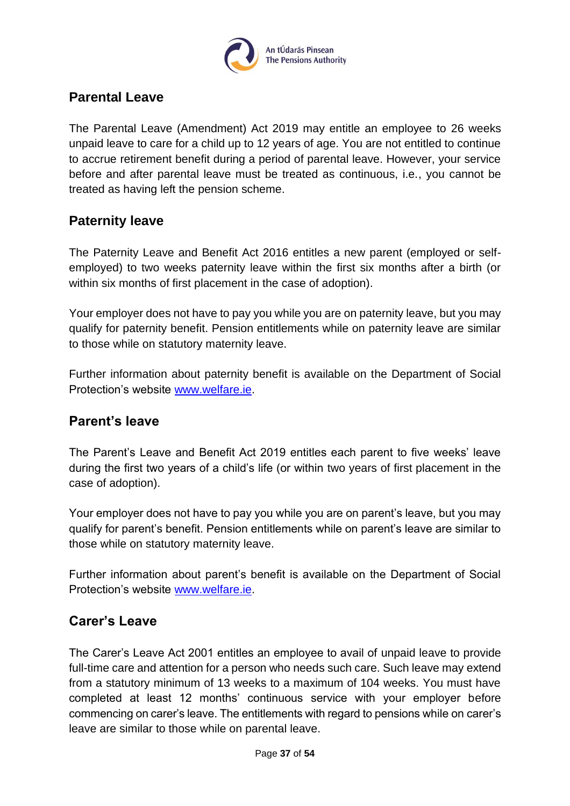

## <span id="page-36-0"></span>**Parental Leave**

The Parental Leave (Amendment) Act 2019 may entitle an employee to 26 weeks unpaid leave to care for a child up to 12 years of age. You are not entitled to continue to accrue retirement benefit during a period of parental leave. However, your service before and after parental leave must be treated as continuous, i.e., you cannot be treated as having left the pension scheme.

## <span id="page-36-1"></span>**Paternity leave**

The Paternity Leave and Benefit Act 2016 entitles a new parent (employed or selfemployed) to two weeks paternity leave within the first six months after a birth (or within six months of first placement in the case of adoption).

Your employer does not have to pay you while you are on paternity leave, but you may qualify for paternity benefit. Pension entitlements while on paternity leave are similar to those while on statutory maternity leave.

Further information about paternity benefit is available on the Department of Social Protection's website [www.welfare.ie.](http://www.welfare.ie/)

## <span id="page-36-2"></span>**Parent's leave**

The Parent's Leave and Benefit Act 2019 entitles each parent to five weeks' leave during the first two years of a child's life (or within two years of first placement in the case of adoption).

Your employer does not have to pay you while you are on parent's leave, but you may qualify for parent's benefit. Pension entitlements while on parent's leave are similar to those while on statutory maternity leave.

Further information about parent's benefit is available on the Department of Social Protection's website [www.welfare.ie.](http://www.welfare.ie/)

## <span id="page-36-3"></span>**Carer's Leave**

The Carer's Leave Act 2001 entitles an employee to avail of unpaid leave to provide full-time care and attention for a person who needs such care. Such leave may extend from a statutory minimum of 13 weeks to a maximum of 104 weeks. You must have completed at least 12 months' continuous service with your employer before commencing on carer's leave. The entitlements with regard to pensions while on carer's leave are similar to those while on parental leave.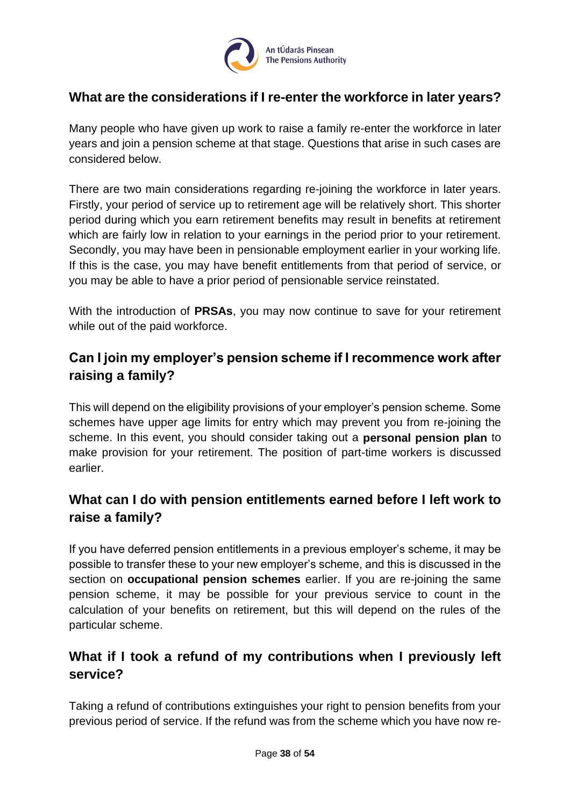

## <span id="page-37-0"></span>**What are the considerations if I re-enter the workforce in later years?**

Many people who have given up work to raise a family re-enter the workforce in later years and join a pension scheme at that stage. Questions that arise in such cases are considered below.

There are two main considerations regarding re-joining the workforce in later years. Firstly, your period of service up to retirement age will be relatively short. This shorter period during which you earn retirement benefits may result in benefits at retirement which are fairly low in relation to your earnings in the period prior to your retirement. Secondly, you may have been in pensionable employment earlier in your working life. If this is the case, you may have benefit entitlements from that period of service, or you may be able to have a prior period of pensionable service reinstated.

With the introduction of **PRSAs**, you may now continue to save for your retirement while out of the paid workforce.

## <span id="page-37-1"></span>**Can I join my employer's pension scheme if I recommence work after raising a family?**

This will depend on the eligibility provisions of your employer's pension scheme. Some schemes have upper age limits for entry which may prevent you from re-joining the scheme. In this event, you should consider taking out a **personal pension plan** to make provision for your retirement. The position of part-time workers is discussed earlier.

## <span id="page-37-2"></span>**What can I do with pension entitlements earned before I left work to raise a family?**

If you have deferred pension entitlements in a previous employer's scheme, it may be possible to transfer these to your new employer's scheme, and this is discussed in the section on **occupational pension schemes** earlier. If you are re-joining the same pension scheme, it may be possible for your previous service to count in the calculation of your benefits on retirement, but this will depend on the rules of the particular scheme.

## <span id="page-37-3"></span>**What if I took a refund of my contributions when I previously left service?**

Taking a refund of contributions extinguishes your right to pension benefits from your previous period of service. If the refund was from the scheme which you have now re-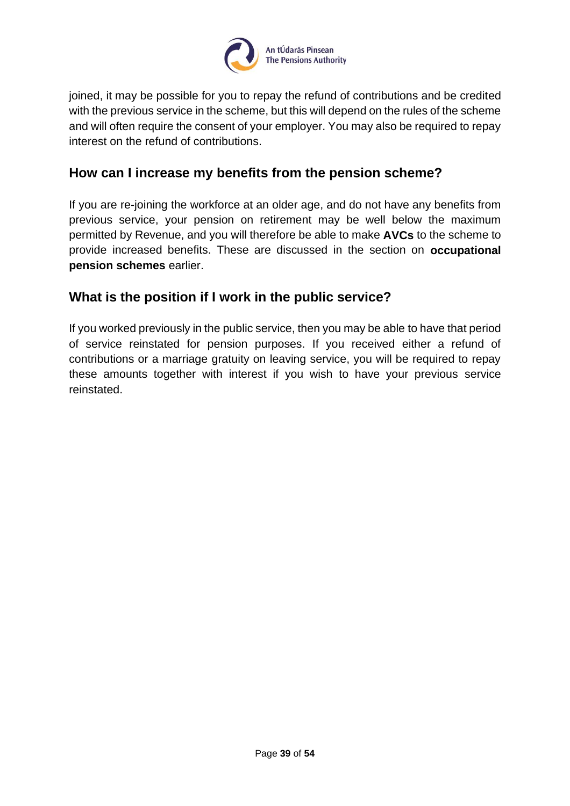

joined, it may be possible for you to repay the refund of contributions and be credited with the previous service in the scheme, but this will depend on the rules of the scheme and will often require the consent of your employer. You may also be required to repay interest on the refund of contributions.

## <span id="page-38-0"></span>**How can I increase my benefits from the pension scheme?**

If you are re-joining the workforce at an older age, and do not have any benefits from previous service, your pension on retirement may be well below the maximum permitted by Revenue, and you will therefore be able to make **AVCs** to the scheme to provide increased benefits. These are discussed in the section on **occupational pension schemes** earlier.

## <span id="page-38-1"></span>**What is the position if I work in the public service?**

If you worked previously in the public service, then you may be able to have that period of service reinstated for pension purposes. If you received either a refund of contributions or a marriage gratuity on leaving service, you will be required to repay these amounts together with interest if you wish to have your previous service reinstated.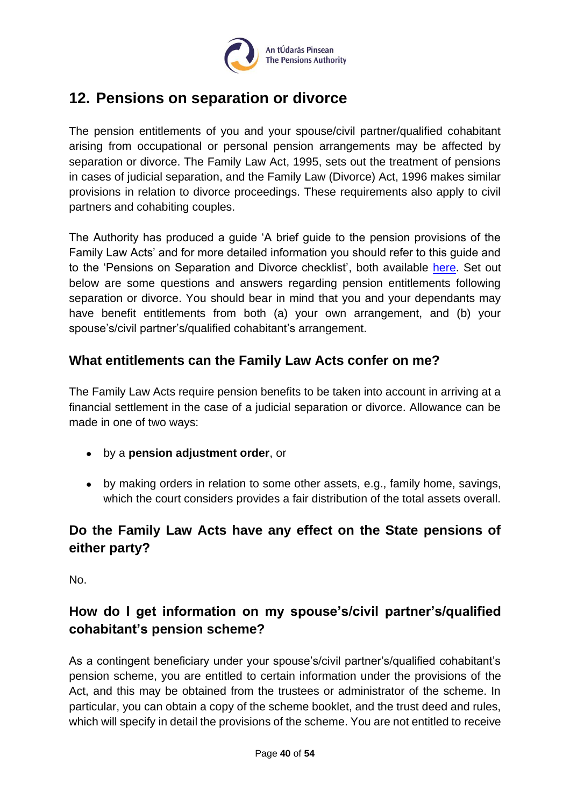

## <span id="page-39-0"></span>**12. Pensions on separation or divorce**

The pension entitlements of you and your spouse/civil partner/qualified cohabitant arising from occupational or personal pension arrangements may be affected by separation or divorce. The Family Law Act, 1995, sets out the treatment of pensions in cases of judicial separation, and the Family Law (Divorce) Act, 1996 makes similar provisions in relation to divorce proceedings. These requirements also apply to civil partners and cohabiting couples.

The Authority has produced a guide 'A brief guide to the pension provisions of the Family Law Acts' and for more detailed information you should refer to this guide and to the 'Pensions on Separation and Divorce checklist', both available [here.](https://www.pensionsauthority.ie/en/trustees_registered_administrators/checklists_and_guides/) Set out below are some questions and answers regarding pension entitlements following separation or divorce. You should bear in mind that you and your dependants may have benefit entitlements from both (a) your own arrangement, and (b) your spouse's/civil partner's/qualified cohabitant's arrangement.

## <span id="page-39-1"></span>**What entitlements can the Family Law Acts confer on me?**

The Family Law Acts require pension benefits to be taken into account in arriving at a financial settlement in the case of a judicial separation or divorce. Allowance can be made in one of two ways:

- by a **pension adjustment order**, or
- by making orders in relation to some other assets, e.g., family home, savings, which the court considers provides a fair distribution of the total assets overall.

## <span id="page-39-2"></span>**Do the Family Law Acts have any effect on the State pensions of either party?**

No.

## <span id="page-39-3"></span>**How do I get information on my spouse's/civil partner's/qualified cohabitant's pension scheme?**

As a contingent beneficiary under your spouse's/civil partner's/qualified cohabitant's pension scheme, you are entitled to certain information under the provisions of the Act, and this may be obtained from the trustees or administrator of the scheme. In particular, you can obtain a copy of the scheme booklet, and the trust deed and rules, which will specify in detail the provisions of the scheme. You are not entitled to receive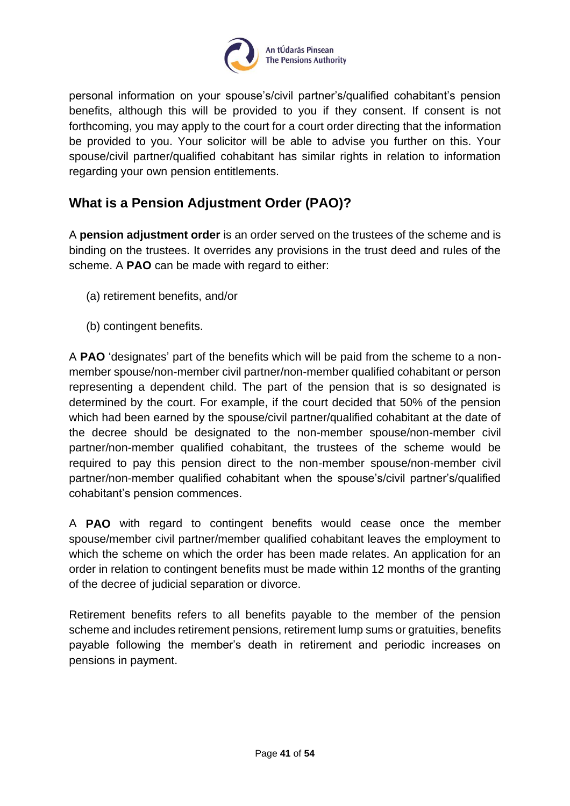

personal information on your spouse's/civil partner's/qualified cohabitant's pension benefits, although this will be provided to you if they consent. If consent is not forthcoming, you may apply to the court for a court order directing that the information be provided to you. Your solicitor will be able to advise you further on this. Your spouse/civil partner/qualified cohabitant has similar rights in relation to information regarding your own pension entitlements.

## <span id="page-40-0"></span>**What is a Pension Adjustment Order (PAO)?**

A **pension adjustment order** is an order served on the trustees of the scheme and is binding on the trustees. It overrides any provisions in the trust deed and rules of the scheme. A **PAO** can be made with regard to either:

- (a) retirement benefits, and/or
- (b) contingent benefits.

A **PAO** 'designates' part of the benefits which will be paid from the scheme to a nonmember spouse/non-member civil partner/non-member qualified cohabitant or person representing a dependent child. The part of the pension that is so designated is determined by the court. For example, if the court decided that 50% of the pension which had been earned by the spouse/civil partner/qualified cohabitant at the date of the decree should be designated to the non-member spouse/non-member civil partner/non-member qualified cohabitant, the trustees of the scheme would be required to pay this pension direct to the non-member spouse/non-member civil partner/non-member qualified cohabitant when the spouse's/civil partner's/qualified cohabitant's pension commences.

A **PAO** with regard to contingent benefits would cease once the member spouse/member civil partner/member qualified cohabitant leaves the employment to which the scheme on which the order has been made relates. An application for an order in relation to contingent benefits must be made within 12 months of the granting of the decree of judicial separation or divorce.

Retirement benefits refers to all benefits payable to the member of the pension scheme and includes retirement pensions, retirement lump sums or gratuities, benefits payable following the member's death in retirement and periodic increases on pensions in payment.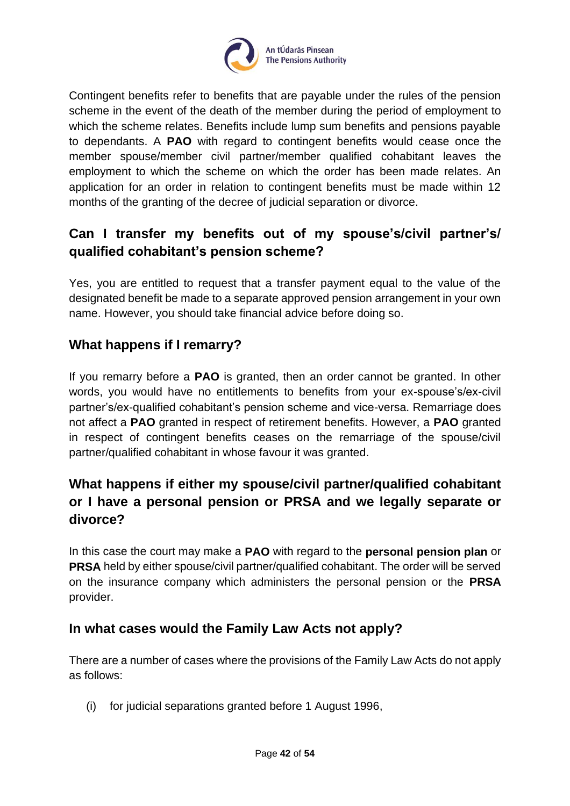

Contingent benefits refer to benefits that are payable under the rules of the pension scheme in the event of the death of the member during the period of employment to which the scheme relates. Benefits include lump sum benefits and pensions payable to dependants. A **PAO** with regard to contingent benefits would cease once the member spouse/member civil partner/member qualified cohabitant leaves the employment to which the scheme on which the order has been made relates. An application for an order in relation to contingent benefits must be made within 12 months of the granting of the decree of judicial separation or divorce.

## <span id="page-41-0"></span>**Can I transfer my benefits out of my spouse's/civil partner's/ qualified cohabitant's pension scheme?**

Yes, you are entitled to request that a transfer payment equal to the value of the designated benefit be made to a separate approved pension arrangement in your own name. However, you should take financial advice before doing so.

## <span id="page-41-1"></span>**What happens if I remarry?**

If you remarry before a **PAO** is granted, then an order cannot be granted. In other words, you would have no entitlements to benefits from your ex-spouse's/ex-civil partner's/ex-qualified cohabitant's pension scheme and vice-versa. Remarriage does not affect a **PAO** granted in respect of retirement benefits. However, a **PAO** granted in respect of contingent benefits ceases on the remarriage of the spouse/civil partner/qualified cohabitant in whose favour it was granted.

## <span id="page-41-2"></span>**What happens if either my spouse/civil partner/qualified cohabitant or I have a personal pension or PRSA and we legally separate or divorce?**

In this case the court may make a **PAO** with regard to the **personal pension plan** or **PRSA** held by either spouse/civil partner/qualified cohabitant. The order will be served on the insurance company which administers the personal pension or the **PRSA**  provider.

## <span id="page-41-3"></span>**In what cases would the Family Law Acts not apply?**

There are a number of cases where the provisions of the Family Law Acts do not apply as follows:

(i) for judicial separations granted before 1 August 1996,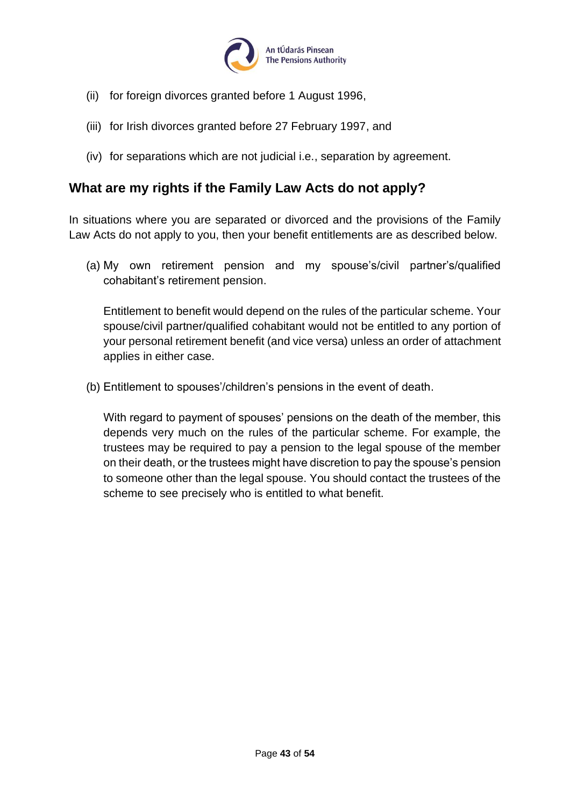

- (ii) for foreign divorces granted before 1 August 1996,
- (iii) for Irish divorces granted before 27 February 1997, and
- (iv) for separations which are not judicial i.e., separation by agreement.

## <span id="page-42-0"></span>**What are my rights if the Family Law Acts do not apply?**

In situations where you are separated or divorced and the provisions of the Family Law Acts do not apply to you, then your benefit entitlements are as described below.

(a) My own retirement pension and my spouse's/civil partner's/qualified cohabitant's retirement pension.

Entitlement to benefit would depend on the rules of the particular scheme. Your spouse/civil partner/qualified cohabitant would not be entitled to any portion of your personal retirement benefit (and vice versa) unless an order of attachment applies in either case.

(b) Entitlement to spouses'/children's pensions in the event of death.

With regard to payment of spouses' pensions on the death of the member, this depends very much on the rules of the particular scheme. For example, the trustees may be required to pay a pension to the legal spouse of the member on their death, or the trustees might have discretion to pay the spouse's pension to someone other than the legal spouse. You should contact the trustees of the scheme to see precisely who is entitled to what benefit.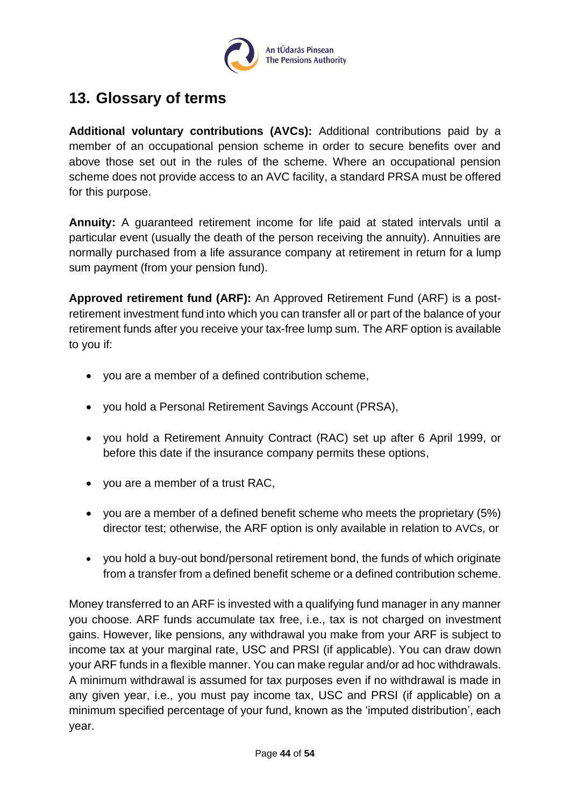

## <span id="page-43-0"></span>**13. Glossary of terms**

**Additional voluntary contributions (AVCs):** Additional contributions paid by a member of an occupational pension scheme in order to secure benefits over and above those set out in the rules of the scheme. Where an occupational pension scheme does not provide access to an AVC facility, a standard PRSA must be offered for this purpose.

**Annuity:** A guaranteed retirement income for life paid at stated intervals until a particular event (usually the death of the person receiving the annuity). Annuities are normally purchased from a life assurance company at retirement in return for a lump sum payment (from your pension fund).

**Approved retirement fund (ARF):** An Approved Retirement Fund (ARF) is a postretirement investment fund into which you can transfer all or part of the balance of your retirement funds after you receive your tax-free lump sum. The ARF option is available to you if:

- you are a member of a defined contribution scheme,
- you hold a Personal Retirement Savings Account (PRSA),
- you hold a Retirement Annuity Contract (RAC) set up after 6 April 1999, or before this date if the insurance company permits these options,
- you are a member of a trust RAC,
- you are a member of a defined benefit scheme who meets the proprietary (5%) director test; otherwise, the ARF option is only available in relation to AVCs, or
- you hold a buy-out bond/personal retirement bond, the funds of which originate from a transfer from a defined benefit scheme or a defined contribution scheme.

Money transferred to an ARF is invested with a qualifying fund manager in any manner you choose. ARF funds accumulate tax free, i.e., tax is not charged on investment gains. However, like pensions, any withdrawal you make from your ARF is subject to income tax at your marginal rate, USC and PRSI (if applicable). You can draw down your ARF funds in a flexible manner. You can make regular and/or ad hoc withdrawals. A minimum withdrawal is assumed for tax purposes even if no withdrawal is made in any given year, i.e., you must pay income tax, USC and PRSI (if applicable) on a minimum specified percentage of your fund, known as the 'imputed distribution', each year.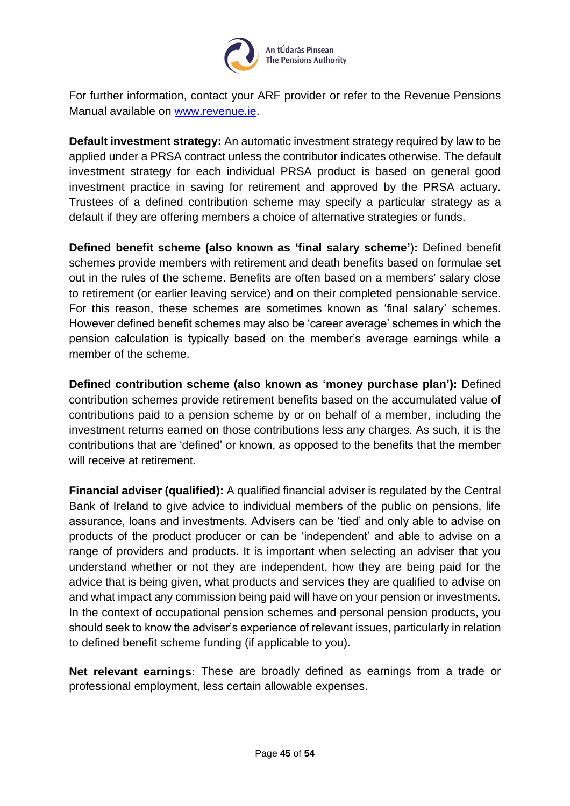

For further information, contact your ARF provider or refer to the Revenue Pensions Manual available on [www.revenue.ie.](http://www.revenue.ie/)

**Default investment strategy:** An automatic investment strategy required by law to be applied under a PRSA contract unless the contributor indicates otherwise. The default investment strategy for each individual PRSA product is based on general good investment practice in saving for retirement and approved by the PRSA actuary. Trustees of a defined contribution scheme may specify a particular strategy as a default if they are offering members a choice of alternative strategies or funds.

**Defined benefit scheme (also known as 'final salary scheme'**)**:** Defined benefit schemes provide members with retirement and death benefits based on formulae set out in the rules of the scheme. Benefits are often based on a members' salary close to retirement (or earlier leaving service) and on their completed pensionable service. For this reason, these schemes are sometimes known as 'final salary' schemes. However defined benefit schemes may also be 'career average' schemes in which the pension calculation is typically based on the member's average earnings while a member of the scheme.

**Defined contribution scheme (also known as 'money purchase plan'):** Defined contribution schemes provide retirement benefits based on the accumulated value of contributions paid to a pension scheme by or on behalf of a member, including the investment returns earned on those contributions less any charges. As such, it is the contributions that are 'defined' or known, as opposed to the benefits that the member will receive at retirement.

**Financial adviser (qualified):** A qualified financial adviser is regulated by the Central Bank of Ireland to give advice to individual members of the public on pensions, life assurance, loans and investments. Advisers can be 'tied' and only able to advise on products of the product producer or can be 'independent' and able to advise on a range of providers and products. It is important when selecting an adviser that you understand whether or not they are independent, how they are being paid for the advice that is being given, what products and services they are qualified to advise on and what impact any commission being paid will have on your pension or investments. In the context of occupational pension schemes and personal pension products, you should seek to know the adviser's experience of relevant issues, particularly in relation to defined benefit scheme funding (if applicable to you).

**Net relevant earnings:** These are broadly defined as earnings from a trade or professional employment, less certain allowable expenses.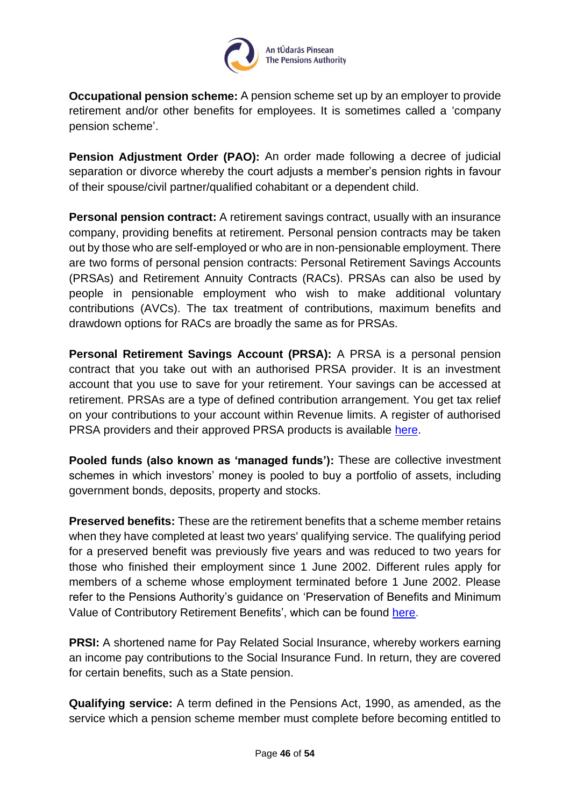

**Occupational pension scheme:** A pension scheme set up by an employer to provide retirement and/or other benefits for employees. It is sometimes called a 'company pension scheme'.

**Pension Adjustment Order (PAO):** An order made following a decree of judicial separation or divorce whereby the court adjusts a member's pension rights in favour of their spouse/civil partner/qualified cohabitant or a dependent child.

**Personal pension contract:** A retirement savings contract, usually with an insurance company, providing benefits at retirement. Personal pension contracts may be taken out by those who are self-employed or who are in non-pensionable employment. There are two forms of personal pension contracts: Personal Retirement Savings Accounts (PRSAs) and Retirement Annuity Contracts (RACs). PRSAs can also be used by people in pensionable employment who wish to make additional voluntary contributions (AVCs). The tax treatment of contributions, maximum benefits and drawdown options for RACs are broadly the same as for PRSAs.

**Personal Retirement Savings Account (PRSA):** A PRSA is a personal pension contract that you take out with an authorised PRSA provider. It is an investment account that you use to save for your retirement. Your savings can be accessed at retirement. PRSAs are a type of defined contribution arrangement. You get tax relief on your contributions to your account within Revenue limits. A register of authorised PRSA providers and their approved PRSA products is available [here.](https://www.pensionsauthority.ie/en/prsa_providers/prsas/)

**Pooled funds (also known as 'managed funds'):** These are collective investment schemes in which investors' money is pooled to buy a portfolio of assets, including government bonds, deposits, property and stocks.

**Preserved benefits:** These are the retirement benefits that a scheme member retains when they have completed at least two years' qualifying service. The qualifying period for a preserved benefit was previously five years and was reduced to two years for those who finished their employment since 1 June 2002. Different rules apply for members of a scheme whose employment terminated before 1 June 2002. Please refer to the Pensions Authority's guidance on 'Preservation of Benefits and Minimum Value of Contributory Retirement Benefits', which can be found [here.](https://www.pensionsauthority.ie/en/trustees_registered_administrators/guidance/)

**PRSI:** A shortened name for Pay Related Social Insurance, whereby workers earning an income pay contributions to the Social Insurance Fund. In return, they are covered for certain benefits, such as a State pension.

**Qualifying service:** A term defined in the Pensions Act, 1990, as amended, as the service which a pension scheme member must complete before becoming entitled to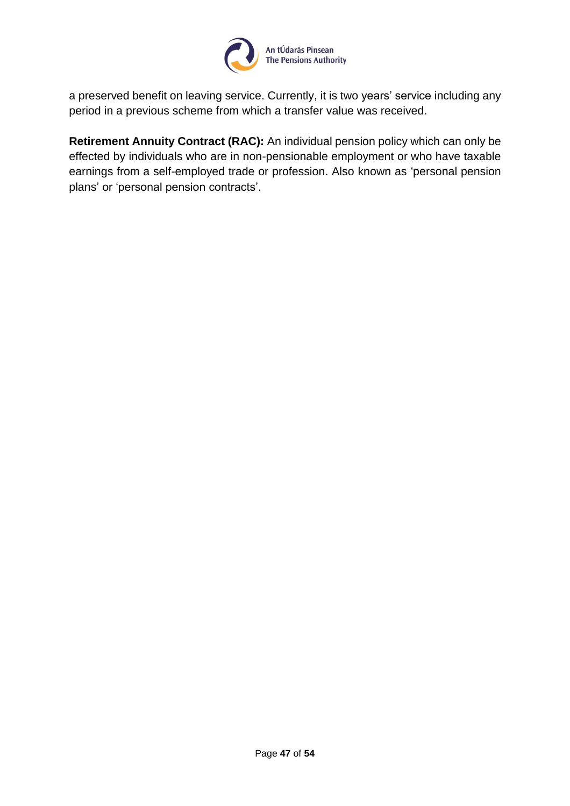

a preserved benefit on leaving service. Currently, it is two years' service including any period in a previous scheme from which a transfer value was received.

**Retirement Annuity Contract (RAC):** An individual pension policy which can only be effected by individuals who are in non-pensionable employment or who have taxable earnings from a self-employed trade or profession. Also known as 'personal pension plans' or 'personal pension contracts'.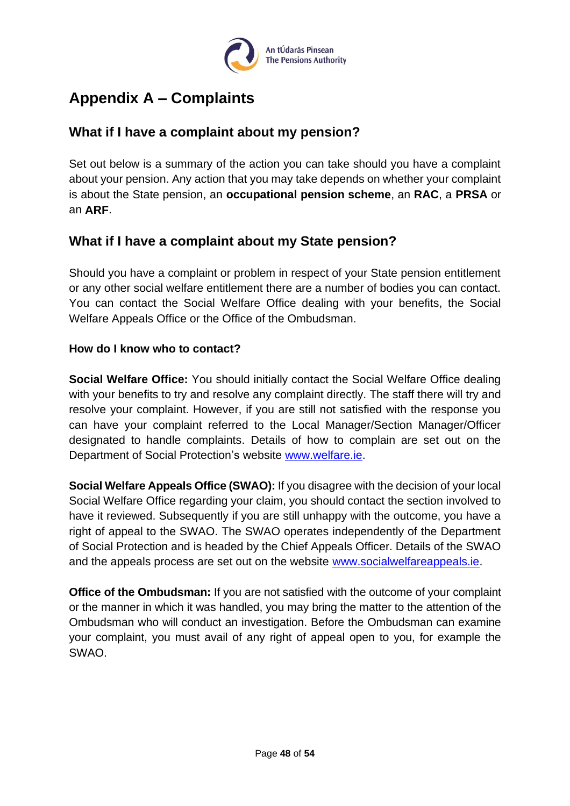

## <span id="page-47-0"></span>**Appendix A – Complaints**

## <span id="page-47-1"></span>**What if I have a complaint about my pension?**

Set out below is a summary of the action you can take should you have a complaint about your pension. Any action that you may take depends on whether your complaint is about the State pension, an **occupational pension scheme**, an **RAC**, a **PRSA** or an **ARF**.

## <span id="page-47-2"></span>**What if I have a complaint about my State pension?**

Should you have a complaint or problem in respect of your State pension entitlement or any other social welfare entitlement there are a number of bodies you can contact. You can contact the Social Welfare Office dealing with your benefits, the Social Welfare Appeals Office or the Office of the Ombudsman.

#### <span id="page-47-3"></span>**How do I know who to contact?**

**Social Welfare Office:** You should initially contact the Social Welfare Office dealing with your benefits to try and resolve any complaint directly. The staff there will try and resolve your complaint. However, if you are still not satisfied with the response you can have your complaint referred to the Local Manager/Section Manager/Officer designated to handle complaints. Details of how to complain are set out on the Department of Social Protection's website [www.welfare.ie.](http://www.welfare.ie/)

**Social Welfare Appeals Office (SWAO):** If you disagree with the decision of your local Social Welfare Office regarding your claim, you should contact the section involved to have it reviewed. Subsequently if you are still unhappy with the outcome, you have a right of appeal to the SWAO. The SWAO operates independently of the Department of Social Protection and is headed by the Chief Appeals Officer. Details of the SWAO and the appeals process are set out on the website [www.socialwelfareappeals.ie.](http://www.socialwelfareappeals.ie/)

**Office of the Ombudsman:** If you are not satisfied with the outcome of your complaint or the manner in which it was handled, you may bring the matter to the attention of the Ombudsman who will conduct an investigation. Before the Ombudsman can examine your complaint, you must avail of any right of appeal open to you, for example the SWAO.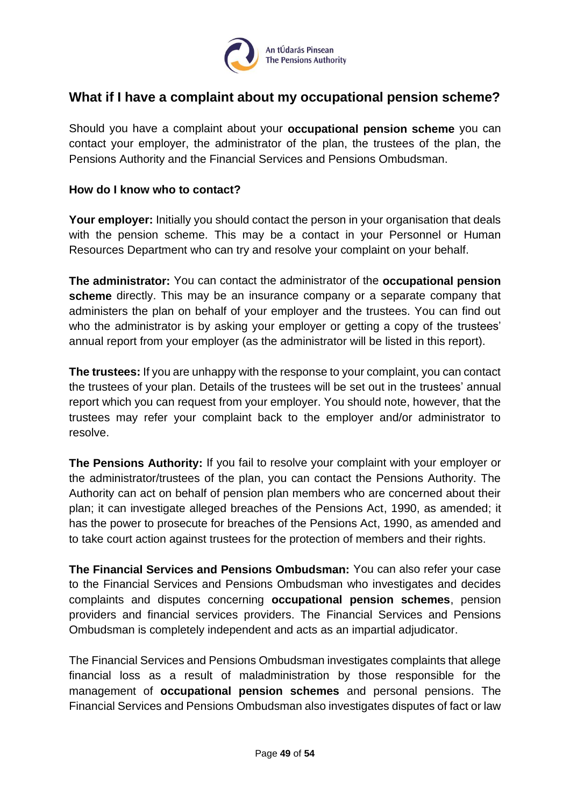

## <span id="page-48-0"></span>**What if I have a complaint about my occupational pension scheme?**

Should you have a complaint about your **occupational pension scheme** you can contact your employer, the administrator of the plan, the trustees of the plan, the Pensions Authority and the Financial Services and Pensions Ombudsman.

#### <span id="page-48-1"></span>**How do I know who to contact?**

**Your employer:** Initially you should contact the person in your organisation that deals with the pension scheme. This may be a contact in your Personnel or Human Resources Department who can try and resolve your complaint on your behalf.

**The administrator:** You can contact the administrator of the **occupational pension scheme** directly. This may be an insurance company or a separate company that administers the plan on behalf of your employer and the trustees. You can find out who the administrator is by asking your employer or getting a copy of the trustees' annual report from your employer (as the administrator will be listed in this report).

**The trustees:** If you are unhappy with the response to your complaint, you can contact the trustees of your plan. Details of the trustees will be set out in the trustees' annual report which you can request from your employer. You should note, however, that the trustees may refer your complaint back to the employer and/or administrator to resolve.

**The Pensions Authority:** If you fail to resolve your complaint with your employer or the administrator/trustees of the plan, you can contact the Pensions Authority. The Authority can act on behalf of pension plan members who are concerned about their plan; it can investigate alleged breaches of the Pensions Act, 1990, as amended; it has the power to prosecute for breaches of the Pensions Act, 1990, as amended and to take court action against trustees for the protection of members and their rights.

**The Financial Services and Pensions Ombudsman:** You can also refer your case to the Financial Services and Pensions Ombudsman who investigates and decides complaints and disputes concerning **occupational pension schemes**, pension providers and financial services providers. The Financial Services and Pensions Ombudsman is completely independent and acts as an impartial adjudicator.

The Financial Services and Pensions Ombudsman investigates complaints that allege financial loss as a result of maladministration by those responsible for the management of **occupational pension schemes** and personal pensions. The Financial Services and Pensions Ombudsman also investigates disputes of fact or law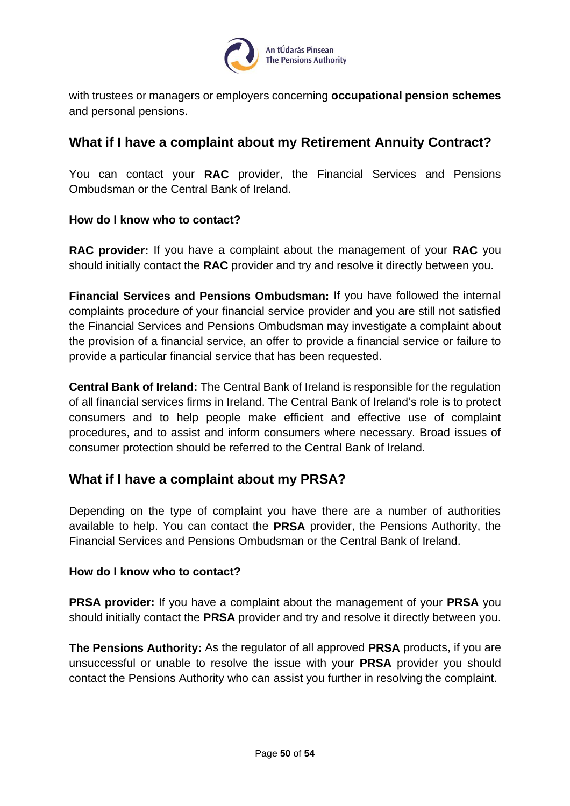

with trustees or managers or employers concerning **occupational pension schemes** and personal pensions.

## <span id="page-49-0"></span>**What if I have a complaint about my Retirement Annuity Contract?**

You can contact your **RAC** provider, the Financial Services and Pensions Ombudsman or the Central Bank of Ireland.

#### <span id="page-49-1"></span>**How do I know who to contact?**

**RAC provider:** If you have a complaint about the management of your **RAC** you should initially contact the **RAC** provider and try and resolve it directly between you.

**Financial Services and Pensions Ombudsman:** If you have followed the internal complaints procedure of your financial service provider and you are still not satisfied the Financial Services and Pensions Ombudsman may investigate a complaint about the provision of a financial service, an offer to provide a financial service or failure to provide a particular financial service that has been requested.

**Central Bank of Ireland:** The Central Bank of Ireland is responsible for the regulation of all financial services firms in Ireland. The Central Bank of Ireland's role is to protect consumers and to help people make efficient and effective use of complaint procedures, and to assist and inform consumers where necessary. Broad issues of consumer protection should be referred to the Central Bank of Ireland.

#### <span id="page-49-2"></span>**What if I have a complaint about my PRSA?**

Depending on the type of complaint you have there are a number of authorities available to help. You can contact the **PRSA** provider, the Pensions Authority, the Financial Services and Pensions Ombudsman or the Central Bank of Ireland.

#### <span id="page-49-3"></span>**How do I know who to contact?**

**PRSA provider:** If you have a complaint about the management of your **PRSA** you should initially contact the **PRSA** provider and try and resolve it directly between you.

**The Pensions Authority:** As the regulator of all approved **PRSA** products, if you are unsuccessful or unable to resolve the issue with your **PRSA** provider you should contact the Pensions Authority who can assist you further in resolving the complaint.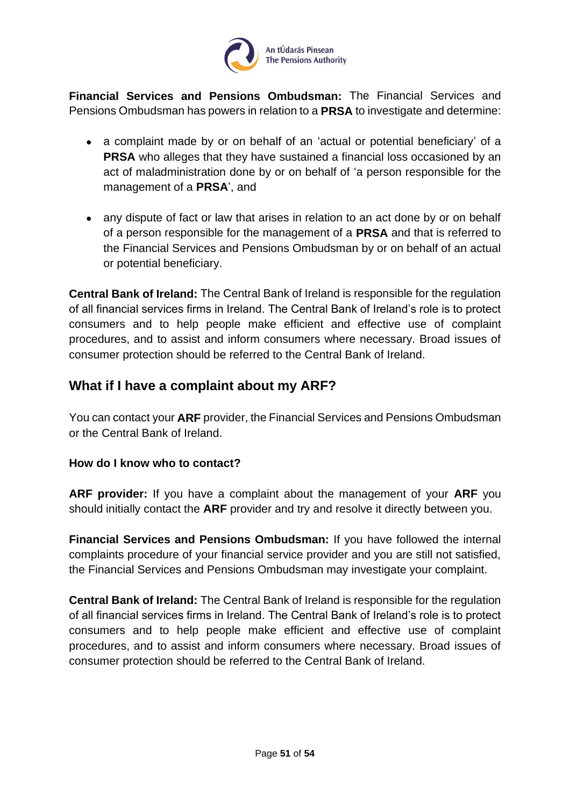

**Financial Services and Pensions Ombudsman:** The Financial Services and Pensions Ombudsman has powers in relation to a **PRSA** to investigate and determine:

- a complaint made by or on behalf of an 'actual or potential beneficiary' of a **PRSA** who alleges that they have sustained a financial loss occasioned by an act of maladministration done by or on behalf of 'a person responsible for the management of a **PRSA**', and
- any dispute of fact or law that arises in relation to an act done by or on behalf of a person responsible for the management of a **PRSA** and that is referred to the Financial Services and Pensions Ombudsman by or on behalf of an actual or potential beneficiary.

**Central Bank of Ireland:** The Central Bank of Ireland is responsible for the regulation of all financial services firms in Ireland. The Central Bank of Ireland's role is to protect consumers and to help people make efficient and effective use of complaint procedures, and to assist and inform consumers where necessary. Broad issues of consumer protection should be referred to the Central Bank of Ireland.

## <span id="page-50-0"></span>**What if I have a complaint about my ARF?**

You can contact your **ARF** provider, the Financial Services and Pensions Ombudsman or the Central Bank of Ireland.

#### <span id="page-50-1"></span>**How do I know who to contact?**

**ARF provider:** If you have a complaint about the management of your **ARF** you should initially contact the **ARF** provider and try and resolve it directly between you.

**Financial Services and Pensions Ombudsman:** If you have followed the internal complaints procedure of your financial service provider and you are still not satisfied, the Financial Services and Pensions Ombudsman may investigate your complaint.

**Central Bank of Ireland:** The Central Bank of Ireland is responsible for the regulation of all financial services firms in Ireland. The Central Bank of Ireland's role is to protect consumers and to help people make efficient and effective use of complaint procedures, and to assist and inform consumers where necessary. Broad issues of consumer protection should be referred to the Central Bank of Ireland.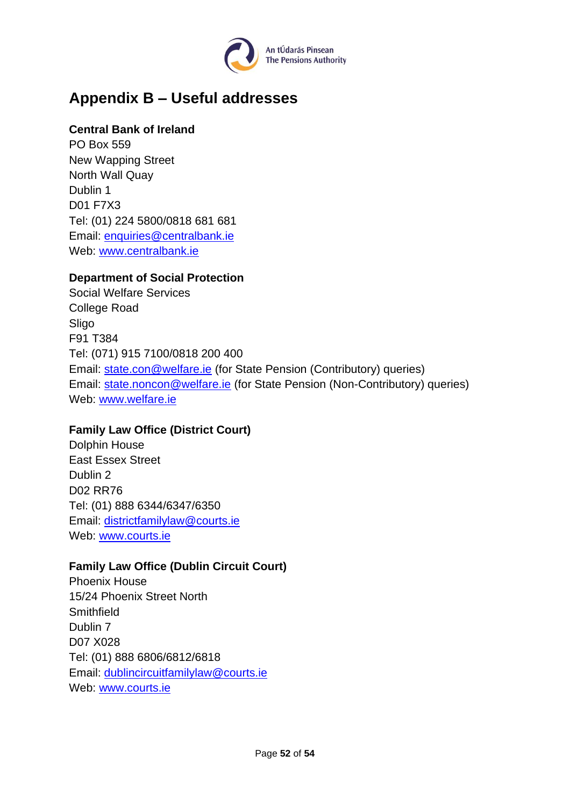

## <span id="page-51-0"></span>**Appendix B – Useful addresses**

#### **Central Bank of Ireland**

PO Box 559 New Wapping Street North Wall Quay Dublin 1 D01 F7X3 Tel: (01) 224 5800/0818 681 681 Email: [enquiries@centralbank.ie](mailto:enquiries@centralbank.ie) Web: [www.centralbank.ie](http://www.centralbank.ie/)

#### **Department of Social Protection**

Social Welfare Services College Road Sligo F91 T384 Tel: (071) 915 7100/0818 200 400 Email: [state.con@welfare.ie](mailto:state.con@welfare.ie) (for State Pension (Contributory) queries) Email: [state.noncon@welfare.ie](mailto:state.noncon@welfare.ie) (for State Pension (Non-Contributory) queries) Web: [www.welfare.ie](http://www.welfare.ie/)

#### **Family Law Office (District Court)**

Dolphin House East Essex Street Dublin 2 D02 RR76 Tel: (01) 888 6344/6347/6350 Email: [districtfamilylaw@courts.ie](mailto:districtfamilylaw@courts.ie) Web: [www.courts.ie](http://www.courts.ie/)

#### **Family Law Office (Dublin Circuit Court)**

Phoenix House 15/24 Phoenix Street North **Smithfield** Dublin 7 D07 X028 Tel: (01) 888 6806/6812/6818 Email: [dublincircuitfamilylaw@courts.ie](mailto:dublincircuitfamilylaw@courts.ie) Web: [www.courts.ie](http://www.courts.ie/)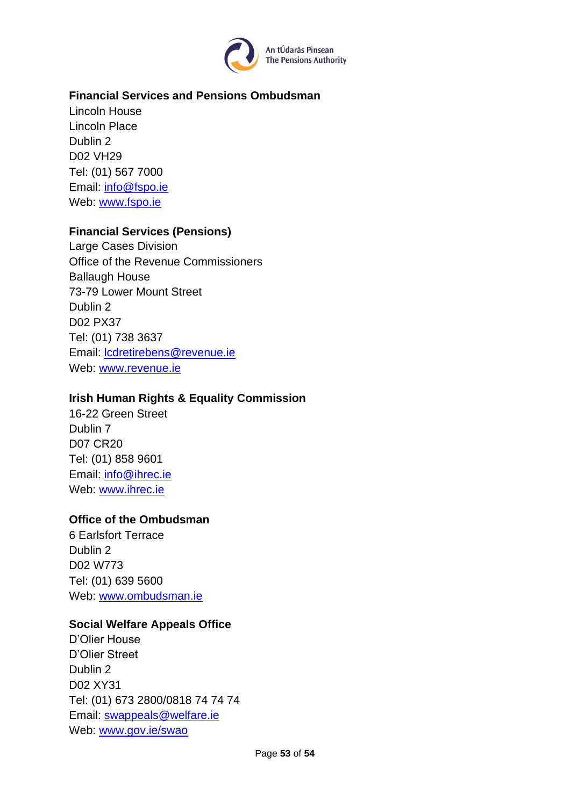

#### **Financial Services and Pensions Ombudsman**

Lincoln House Lincoln Place Dublin 2 D02 VH29 Tel: (01) 567 7000 Email: [info@fspo.ie](mailto:info@fspo.ie) Web: [www.fspo.ie](http://www.fspo.ie/)

#### **Financial Services (Pensions)**

Large Cases Division Office of the Revenue Commissioners Ballaugh House 73-79 Lower Mount Street Dublin 2 D02 PX37 Tel: (01) 738 3637 Email: [lcdretirebens@revenue.ie](mailto:lcdretirebens@revenue.ie) Web: [www.revenue.ie](http://www.revenue.ie/)

#### **Irish Human Rights & Equality Commission**

16-22 Green Street Dublin 7 D07 CR20 Tel: (01) 858 9601 Email: [info@ihrec.ie](mailto:info@ihrec.ie) Web: [www.ihrec.ie](http://www.ihrec.ie/)

#### **Office of the Ombudsman**

6 Earlsfort Terrace Dublin 2 D02 W773 Tel: (01) 639 5600 Web: [www.ombudsman.ie](http://www.ombudsman.ie/)

#### **Social Welfare Appeals Office**

D'Olier House D'Olier Street Dublin 2 D02 XY31 Tel: (01) 673 2800/0818 74 74 74 Email: [swappeals@welfare.ie](mailto:swappeals@welfare.ie) Web: [www.gov.ie/swao](http://www.gov.ie/swao)